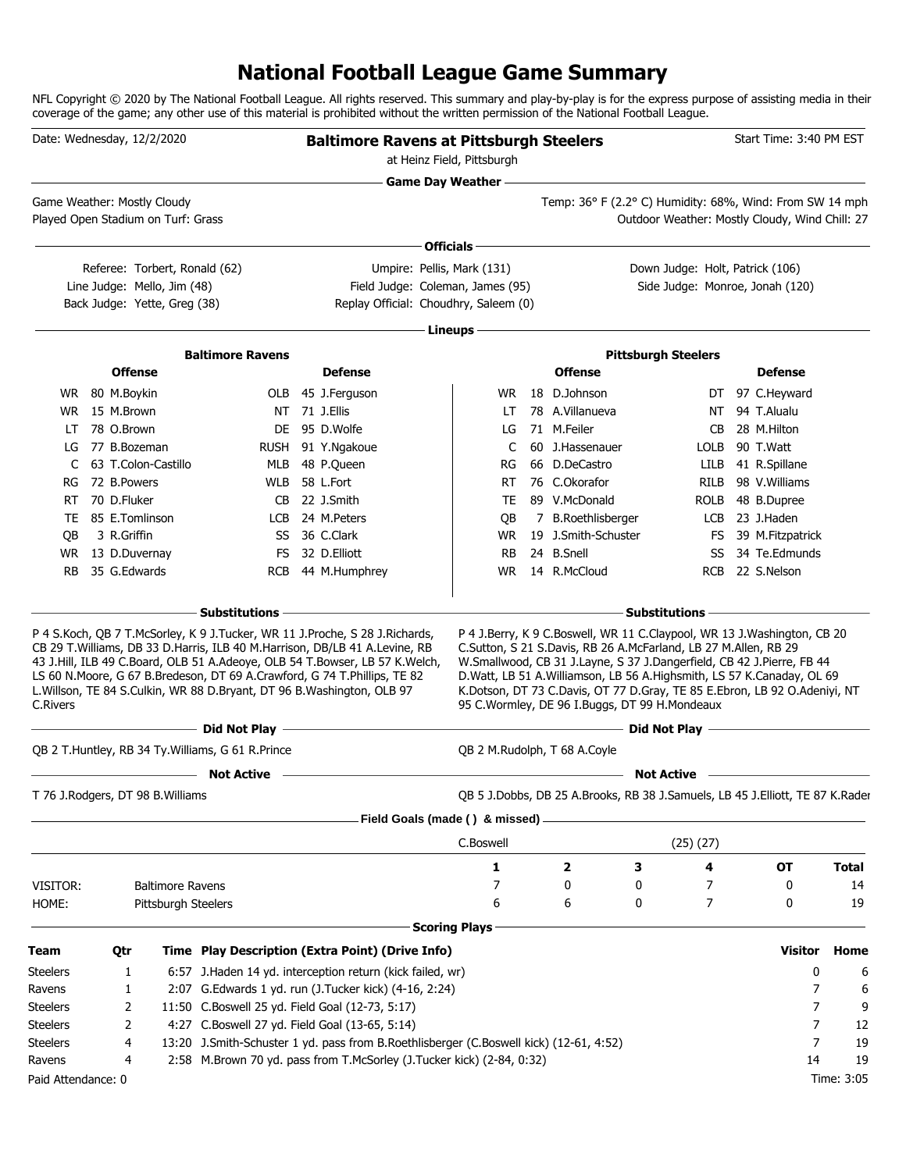### **National Football League Game Summary**

NFL Copyright © 2020 by The National Football League. All rights reserved. This summary and play-by-play is for the express purpose of assisting media in their coverage of the game; any other use of this material is prohibited without the written permission of the National Football League.

|                              |                            | Date: Wednesday, 12/2/2020                                        |                                                                                             | <b>Baltimore Ravens at Pittsburgh Steelers</b>                                                                                                                                                                                                                                                                                                                                                                            | at Heinz Field, Pittsburgh |                                                                                                                                                                                                                                                                                                                                                                                                                            |                   |                                 | Start Time: 3:40 PM EST                        |            |
|------------------------------|----------------------------|-------------------------------------------------------------------|---------------------------------------------------------------------------------------------|---------------------------------------------------------------------------------------------------------------------------------------------------------------------------------------------------------------------------------------------------------------------------------------------------------------------------------------------------------------------------------------------------------------------------|----------------------------|----------------------------------------------------------------------------------------------------------------------------------------------------------------------------------------------------------------------------------------------------------------------------------------------------------------------------------------------------------------------------------------------------------------------------|-------------------|---------------------------------|------------------------------------------------|------------|
|                              |                            |                                                                   |                                                                                             |                                                                                                                                                                                                                                                                                                                                                                                                                           | <b>Game Day Weather --</b> |                                                                                                                                                                                                                                                                                                                                                                                                                            |                   |                                 |                                                |            |
|                              |                            | Game Weather: Mostly Cloudy<br>Played Open Stadium on Turf: Grass |                                                                                             |                                                                                                                                                                                                                                                                                                                                                                                                                           |                            | Temp: 36° F (2.2° C) Humidity: 68%, Wind: From SW 14 mph                                                                                                                                                                                                                                                                                                                                                                   |                   |                                 | Outdoor Weather: Mostly Cloudy, Wind Chill: 27 |            |
|                              |                            |                                                                   |                                                                                             |                                                                                                                                                                                                                                                                                                                                                                                                                           | Officials-                 |                                                                                                                                                                                                                                                                                                                                                                                                                            |                   |                                 |                                                |            |
|                              |                            | Referee: Torbert, Ronald (62)                                     |                                                                                             | Umpire: Pellis, Mark (131)                                                                                                                                                                                                                                                                                                                                                                                                |                            |                                                                                                                                                                                                                                                                                                                                                                                                                            |                   | Down Judge: Holt, Patrick (106) |                                                |            |
|                              |                            | Line Judge: Mello, Jim (48)                                       |                                                                                             | Field Judge: Coleman, James (95)                                                                                                                                                                                                                                                                                                                                                                                          |                            |                                                                                                                                                                                                                                                                                                                                                                                                                            |                   |                                 | Side Judge: Monroe, Jonah (120)                |            |
|                              |                            | Back Judge: Yette, Greg (38)                                      |                                                                                             | Replay Official: Choudhry, Saleem (0)                                                                                                                                                                                                                                                                                                                                                                                     |                            |                                                                                                                                                                                                                                                                                                                                                                                                                            |                   |                                 |                                                |            |
|                              |                            |                                                                   |                                                                                             |                                                                                                                                                                                                                                                                                                                                                                                                                           | Lineups-                   |                                                                                                                                                                                                                                                                                                                                                                                                                            |                   |                                 |                                                |            |
|                              |                            |                                                                   | <b>Baltimore Ravens</b>                                                                     |                                                                                                                                                                                                                                                                                                                                                                                                                           |                            |                                                                                                                                                                                                                                                                                                                                                                                                                            |                   | <b>Pittsburgh Steelers</b>      |                                                |            |
|                              |                            | <b>Offense</b>                                                    |                                                                                             | <b>Defense</b>                                                                                                                                                                                                                                                                                                                                                                                                            |                            | <b>Offense</b>                                                                                                                                                                                                                                                                                                                                                                                                             |                   |                                 | <b>Defense</b>                                 |            |
|                              | WR 80 M.Boykin             |                                                                   |                                                                                             | OLB 45 J.Ferguson                                                                                                                                                                                                                                                                                                                                                                                                         | WR.                        | 18 D.Johnson                                                                                                                                                                                                                                                                                                                                                                                                               |                   |                                 | DT 97 C.Heyward                                |            |
| WR.                          | 15 M.Brown                 |                                                                   |                                                                                             | NT 71 J.Ellis                                                                                                                                                                                                                                                                                                                                                                                                             | LT                         | 78 A.Villanueva                                                                                                                                                                                                                                                                                                                                                                                                            |                   | NT                              | 94 T.Alualu                                    |            |
| LT                           | 78 O.Brown                 |                                                                   |                                                                                             | DE 95 D.Wolfe                                                                                                                                                                                                                                                                                                                                                                                                             | LG                         | 71 M.Feiler                                                                                                                                                                                                                                                                                                                                                                                                                |                   | CВ                              | 28 M.Hilton                                    |            |
| LG                           | 77 B.Bozeman               |                                                                   |                                                                                             | RUSH 91 Y.Ngakoue                                                                                                                                                                                                                                                                                                                                                                                                         | C                          | 60 J.Hassenauer                                                                                                                                                                                                                                                                                                                                                                                                            |                   | <b>LOLB</b>                     | 90 T.Watt                                      |            |
|                              |                            | 63 T.Colon-Castillo                                               | MLB                                                                                         | 48 P.Queen                                                                                                                                                                                                                                                                                                                                                                                                                | RG                         | 66 D.DeCastro                                                                                                                                                                                                                                                                                                                                                                                                              |                   | LILB                            | 41 R.Spillane                                  |            |
| RG                           | 72 B.Powers<br>70 D.Fluker |                                                                   | WLB                                                                                         | 58 L.Fort                                                                                                                                                                                                                                                                                                                                                                                                                 | RT                         | 76 C.Okorafor<br>89 V.McDonald                                                                                                                                                                                                                                                                                                                                                                                             |                   | RILB                            | 98 V. Williams                                 |            |
| RT.                          |                            | 85 E.Tomlinson                                                    | CB                                                                                          | 22 J.Smith<br>24 M.Peters                                                                                                                                                                                                                                                                                                                                                                                                 | TE                         |                                                                                                                                                                                                                                                                                                                                                                                                                            |                   | <b>ROLB</b>                     | 48 B.Dupree<br>23 J.Haden                      |            |
| TE<br>OВ                     | 3 R.Griffin                |                                                                   | LCB                                                                                         | SS 36 C.Clark                                                                                                                                                                                                                                                                                                                                                                                                             | QB<br>WR                   | 7 B.Roethlisberger<br>19 J.Smith-Schuster                                                                                                                                                                                                                                                                                                                                                                                  |                   | LCB                             | FS 39 M.Fitzpatrick                            |            |
|                              |                            | WR 13 D.Duvernay                                                  | FS.                                                                                         | 32 D.Elliott                                                                                                                                                                                                                                                                                                                                                                                                              | <b>RB</b>                  | 24 B.Snell                                                                                                                                                                                                                                                                                                                                                                                                                 |                   | SS                              | 34 Te.Edmunds                                  |            |
| RB.                          |                            | 35 G.Edwards                                                      |                                                                                             | RCB 44 M.Humphrey                                                                                                                                                                                                                                                                                                                                                                                                         | WR.                        | 14 R.McCloud                                                                                                                                                                                                                                                                                                                                                                                                               |                   | <b>RCB</b>                      | 22 S.Nelson                                    |            |
|                              |                            |                                                                   |                                                                                             |                                                                                                                                                                                                                                                                                                                                                                                                                           |                            |                                                                                                                                                                                                                                                                                                                                                                                                                            |                   |                                 |                                                |            |
|                              |                            |                                                                   | - Substitutions                                                                             |                                                                                                                                                                                                                                                                                                                                                                                                                           |                            |                                                                                                                                                                                                                                                                                                                                                                                                                            | - Substitutions   |                                 |                                                |            |
| C.Rivers                     |                            |                                                                   | L. Willson, TE 84 S. Culkin, WR 88 D. Bryant, DT 96 B. Washington, OLB 97<br>Did Not Play – | P 4 S.Koch, QB 7 T.McSorley, K 9 J.Tucker, WR 11 J.Proche, S 28 J.Richards,<br>CB 29 T. Williams, DB 33 D. Harris, ILB 40 M. Harrison, DB/LB 41 A. Levine, RB<br>43 J.Hill, ILB 49 C.Board, OLB 51 A.Adeoye, OLB 54 T.Bowser, LB 57 K.Welch,<br>LS 60 N. Moore, G 67 B. Bredeson, DT 69 A. Crawford, G 74 T. Phillips, TE 82<br>the control of the control of the control of the control of the control of the control of |                            | P 4 J.Berry, K 9 C.Boswell, WR 11 C.Claypool, WR 13 J.Washington, CB 20<br>C.Sutton, S 21 S.Davis, RB 26 A.McFarland, LB 27 M.Allen, RB 29<br>W.Smallwood, CB 31 J.Layne, S 37 J.Dangerfield, CB 42 J.Pierre, FB 44<br>D.Watt, LB 51 A.Williamson, LB 56 A.Highsmith, LS 57 K.Canaday, OL 69<br>K.Dotson, DT 73 C.Davis, OT 77 D.Gray, TE 85 E.Ebron, LB 92 O.Adeniyi, NT<br>95 C.Wormley, DE 96 I.Buggs, DT 99 H.Mondeaux |                   |                                 |                                                |            |
|                              |                            |                                                                   | QB 2 T. Huntley, RB 34 Ty. Williams, G 61 R. Prince                                         |                                                                                                                                                                                                                                                                                                                                                                                                                           |                            | OB 2 M.Rudolph, T 68 A.Coyle                                                                                                                                                                                                                                                                                                                                                                                               |                   |                                 |                                                |            |
|                              |                            |                                                                   | <b>Not Active</b>                                                                           |                                                                                                                                                                                                                                                                                                                                                                                                                           |                            |                                                                                                                                                                                                                                                                                                                                                                                                                            | <b>Not Active</b> |                                 |                                                |            |
|                              |                            | T 76 J.Rodgers, DT 98 B.Williams                                  |                                                                                             |                                                                                                                                                                                                                                                                                                                                                                                                                           |                            | QB 5 J.Dobbs, DB 25 A.Brooks, RB 38 J.Samuels, LB 45 J.Elliott, TE 87 K.Rader                                                                                                                                                                                                                                                                                                                                              |                   |                                 |                                                |            |
|                              |                            |                                                                   |                                                                                             | Field Goals (made () & missed) _                                                                                                                                                                                                                                                                                                                                                                                          |                            |                                                                                                                                                                                                                                                                                                                                                                                                                            |                   |                                 |                                                |            |
|                              |                            |                                                                   |                                                                                             |                                                                                                                                                                                                                                                                                                                                                                                                                           | C.Boswell                  |                                                                                                                                                                                                                                                                                                                                                                                                                            |                   | (25)(27)                        |                                                |            |
|                              |                            |                                                                   |                                                                                             |                                                                                                                                                                                                                                                                                                                                                                                                                           | 1                          | 2                                                                                                                                                                                                                                                                                                                                                                                                                          | 3                 | 4                               | <b>OT</b>                                      | Total      |
| VISITOR:                     |                            | <b>Baltimore Ravens</b>                                           |                                                                                             |                                                                                                                                                                                                                                                                                                                                                                                                                           | 7                          | 0                                                                                                                                                                                                                                                                                                                                                                                                                          | 0                 | 7                               | 0                                              | 14         |
| HOME:                        |                            | Pittsburgh Steelers                                               |                                                                                             |                                                                                                                                                                                                                                                                                                                                                                                                                           | 6                          | 6                                                                                                                                                                                                                                                                                                                                                                                                                          | 0                 | 7                               | 0                                              | 19         |
|                              |                            |                                                                   |                                                                                             |                                                                                                                                                                                                                                                                                                                                                                                                                           | <b>Scoring Plays</b>       |                                                                                                                                                                                                                                                                                                                                                                                                                            |                   |                                 |                                                |            |
| Team                         | Qtr                        |                                                                   |                                                                                             | Time Play Description (Extra Point) (Drive Info)                                                                                                                                                                                                                                                                                                                                                                          |                            |                                                                                                                                                                                                                                                                                                                                                                                                                            |                   |                                 | <b>Visitor</b>                                 | Home       |
| <b>Steelers</b>              |                            | 1                                                                 |                                                                                             | 6:57 J. Haden 14 yd. interception return (kick failed, wr)                                                                                                                                                                                                                                                                                                                                                                |                            |                                                                                                                                                                                                                                                                                                                                                                                                                            |                   |                                 | 0                                              | 6          |
| Ravens                       |                            | 1                                                                 |                                                                                             | 2:07 G.Edwards 1 yd. run (J.Tucker kick) (4-16, 2:24)                                                                                                                                                                                                                                                                                                                                                                     |                            |                                                                                                                                                                                                                                                                                                                                                                                                                            |                   |                                 | 7                                              | 6          |
| <b>Steelers</b>              |                            | 2                                                                 |                                                                                             | 11:50 C.Boswell 25 yd. Field Goal (12-73, 5:17)                                                                                                                                                                                                                                                                                                                                                                           |                            |                                                                                                                                                                                                                                                                                                                                                                                                                            |                   |                                 | 7                                              | 9          |
| <b>Steelers</b>              |                            | 2                                                                 | 4:27 C.Boswell 27 yd. Field Goal (13-65, 5:14)                                              |                                                                                                                                                                                                                                                                                                                                                                                                                           |                            |                                                                                                                                                                                                                                                                                                                                                                                                                            |                   |                                 | 7                                              | 12         |
| <b>Steelers</b>              |                            | 4<br>4                                                            |                                                                                             | 13:20 J.Smith-Schuster 1 yd. pass from B.Roethlisberger (C.Boswell kick) (12-61, 4:52)<br>2:58 M.Brown 70 yd. pass from T.McSorley (J.Tucker kick) (2-84, 0:32)                                                                                                                                                                                                                                                           |                            |                                                                                                                                                                                                                                                                                                                                                                                                                            |                   |                                 | 7<br>14                                        | 19<br>19   |
| Ravens<br>Paid Attendance: 0 |                            |                                                                   |                                                                                             |                                                                                                                                                                                                                                                                                                                                                                                                                           |                            |                                                                                                                                                                                                                                                                                                                                                                                                                            |                   |                                 |                                                | Time: 3:05 |
|                              |                            |                                                                   |                                                                                             |                                                                                                                                                                                                                                                                                                                                                                                                                           |                            |                                                                                                                                                                                                                                                                                                                                                                                                                            |                   |                                 |                                                |            |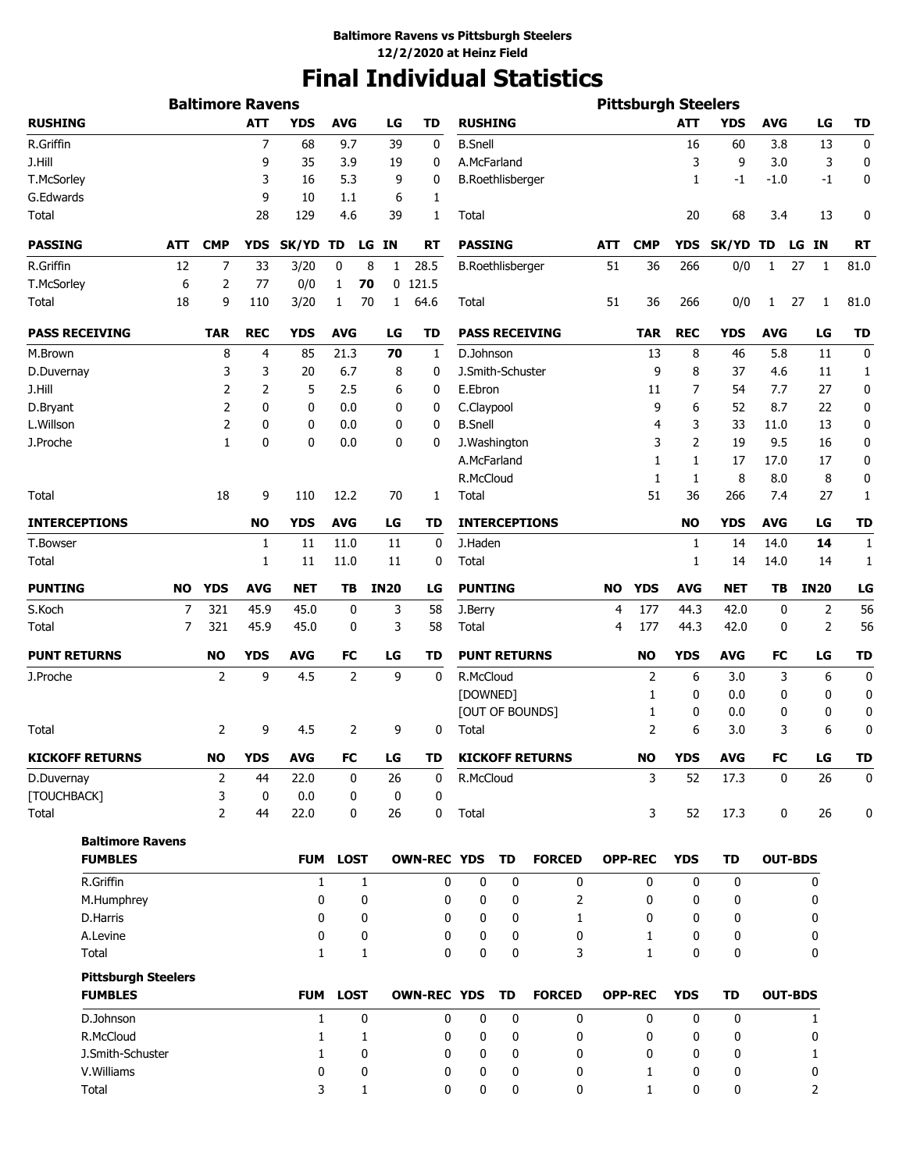# **Final Individual Statistics**

|                           |                                              |            | <b>Baltimore Ravens</b> |                   |              |                |              |                    |                         |           |                        |           | <b>Pittsburgh Steelers</b> |                |             |                |                    |           |
|---------------------------|----------------------------------------------|------------|-------------------------|-------------------|--------------|----------------|--------------|--------------------|-------------------------|-----------|------------------------|-----------|----------------------------|----------------|-------------|----------------|--------------------|-----------|
| <b>RUSHING</b>            |                                              |            |                         | <b>ATT</b>        | <b>YDS</b>   | <b>AVG</b>     | LG           | <b>TD</b>          | <b>RUSHING</b>          |           |                        |           |                            | <b>ATT</b>     | <b>YDS</b>  | <b>AVG</b>     | LG                 | <b>TD</b> |
| R.Griffin                 |                                              |            |                         | $\overline{7}$    | 68           | 9.7            | 39           | 0                  | <b>B.Snell</b>          |           |                        |           |                            | 16             | 60          | 3.8            | 13                 | 0         |
| J.Hill                    |                                              |            |                         | 9                 | 35           | 3.9            | 19           | 0                  | A.McFarland             |           |                        |           |                            | 3              | 9           | 3.0            | 3                  | 0         |
| T.McSorley                |                                              |            |                         | 3                 | 16           | 5.3            | 9            | 0                  | <b>B.Roethlisberger</b> |           |                        |           |                            | 1              | $-1$        | $-1.0$         | $-1$               | 0         |
| G.Edwards                 |                                              |            |                         | 9                 | 10           | 1.1            | 6            | 1                  |                         |           |                        |           |                            |                |             |                |                    |           |
| Total                     |                                              |            |                         | 28                | 129          | 4.6            | 39           | 1                  | Total                   |           |                        |           |                            | 20             | 68          | 3.4            | 13                 | 0         |
| <b>PASSING</b>            |                                              | <b>ATT</b> | <b>CMP</b>              | <b>YDS</b>        | SK/YD TD     |                | LG IN        | <b>RT</b>          | <b>PASSING</b>          |           |                        | ATT       | <b>CMP</b>                 | <b>YDS</b>     | SK/YD TD    |                | LG IN              | <b>RT</b> |
| R.Griffin                 |                                              | 12         | 7                       | 33                | 3/20         | 0              | 8<br>1       | 28.5               | <b>B.Roethlisberger</b> |           |                        | 51        | 36                         | 266            | 0/0         | $\mathbf{1}$   | 27<br>$\mathbf{1}$ | 81.0      |
| T.McSorley                |                                              | 6          | 2                       | 77                | 0/0          | 1<br>70        |              | $0$ 121.5          |                         |           |                        |           |                            |                |             |                |                    |           |
| Total                     |                                              | 18         | 9                       | 110               | 3/20         | 70<br>1        | $\mathbf{1}$ | 64.6               | Total                   |           |                        | 51        | 36                         | 266            | 0/0         | $\mathbf{1}$   | 27<br>1            | 81.0      |
| <b>PASS RECEIVING</b>     |                                              |            | <b>TAR</b>              | <b>REC</b>        | <b>YDS</b>   | <b>AVG</b>     | LG           | TD                 |                         |           | <b>PASS RECEIVING</b>  |           | TAR                        | <b>REC</b>     | <b>YDS</b>  | <b>AVG</b>     | LG                 | TD        |
| M.Brown                   |                                              |            | 8                       | 4                 | 85           | 21.3           | 70           | 1                  | D.Johnson               |           |                        |           | 13                         | 8              | 46          | 5.8            | 11                 | 0         |
| D.Duvernay                |                                              |            | 3                       | 3                 | 20           | 6.7            | 8            | 0                  | J.Smith-Schuster        |           |                        |           | 9                          | 8              | 37          | 4.6            | 11                 | 1         |
| J.Hill                    |                                              |            | 2                       | 2                 | 5            | 2.5            | 6            | 0                  | E.Ebron                 |           |                        |           | 11                         | 7              | 54          | 7.7            | 27                 | 0         |
| D.Bryant                  |                                              |            | 2                       | 0                 | 0            | 0.0            | 0            | 0                  | C.Claypool              |           |                        |           | 9                          | 6              | 52          | 8.7            | 22                 | 0         |
| L.Willson                 |                                              |            | 2                       | 0                 | 0            | 0.0            | 0            | 0                  | <b>B.Snell</b>          |           |                        |           | 4                          | 3              | 33          | 11.0           | 13                 | 0         |
| J.Proche                  |                                              |            | $\mathbf{1}$            | $\mathbf{0}$      | 0            | 0.0            | 0            | 0                  | J.Washington            |           |                        |           | 3                          | $\overline{2}$ | 19          | 9.5            | 16                 | 0         |
|                           |                                              |            |                         |                   |              |                |              |                    | A.McFarland             |           |                        |           | 1                          | 1              | 17          | 17.0           | 17                 | 0         |
|                           |                                              |            |                         |                   |              |                |              |                    | R.McCloud               |           |                        |           | 1                          | 1              | 8           | 8.0            | 8                  | 0         |
| Total                     |                                              |            | 18                      | 9                 | 110          | 12.2           | 70           | 1                  | Total                   |           |                        |           | 51                         | 36             | 266         | 7.4            | 27                 | 1         |
| <b>INTERCEPTIONS</b>      |                                              |            |                         | <b>NO</b>         | <b>YDS</b>   | <b>AVG</b>     | LG           | TD                 |                         |           | <b>INTERCEPTIONS</b>   |           |                            | <b>NO</b>      | <b>YDS</b>  | <b>AVG</b>     | LG                 | TD        |
| T.Bowser                  |                                              |            |                         | 1                 | 11           | 11.0           | 11           | 0                  | J.Haden                 |           |                        |           |                            | 1              | 14          | 14.0           | 14                 | 1         |
| Total                     |                                              |            |                         | 1                 | 11           | 11.0           | 11           | 0                  | Total                   |           |                        |           |                            | 1              | 14          | 14.0           | 14                 | 1         |
| <b>PUNTING</b>            |                                              | NO         | <b>YDS</b>              | <b>AVG</b>        | <b>NET</b>   | TB             | <b>IN20</b>  | LG                 | <b>PUNTING</b>          |           |                        | <b>NO</b> | <b>YDS</b>                 | <b>AVG</b>     | <b>NET</b>  | TB             | <b>IN20</b>        | LG        |
| S.Koch                    |                                              | 7          | 321                     | 45.9              | 45.0         | 0              | 3            | 58                 | J.Berry                 |           |                        | 4         | 177                        | 44.3           | 42.0        | 0              | 2                  | 56        |
| Total                     |                                              | 7          | 321                     | 45.9              | 45.0         | 0              | 3            | 58                 | Total                   |           |                        | 4         | 177                        | 44.3           | 42.0        | 0              | 2                  | 56        |
| <b>PUNT RETURNS</b>       |                                              |            | NO                      | <b>YDS</b>        | <b>AVG</b>   | FC             | LG           | TD                 | <b>PUNT RETURNS</b>     |           |                        |           | <b>NO</b>                  | <b>YDS</b>     | AVG         | FC             | LG                 | TD        |
| J.Proche                  |                                              |            | 2                       | 9                 | 4.5          | $\overline{2}$ | 9            | 0                  | R.McCloud               |           |                        |           | 2                          | 6              | 3.0         | 3              | 6                  | 0         |
|                           |                                              |            |                         |                   |              |                |              |                    | [DOWNED]                |           |                        |           | 1                          | 0              | 0.0         | 0              | 0                  | 0         |
|                           |                                              |            |                         |                   |              |                |              |                    |                         |           | [OUT OF BOUNDS]        |           | 1                          | 0              | 0.0         | 0              | 0                  | 0         |
| Total                     |                                              |            | 2                       | 9                 | 4.5          | 2              | 9            | 0                  | Total                   |           |                        |           | 2                          | 6              | 3.0         | 3              | 6                  | 0         |
|                           | <b>KICKOFF RETURNS</b>                       |            | <b>NO</b>               | <b>YDS</b>        | <b>AVG</b>   | FC             | LG           | TD                 |                         |           | <b>KICKOFF RETURNS</b> |           | <b>NO</b>                  | <b>YDS</b>     | <b>AVG</b>  | <b>FC</b>      | LG                 | ΤŊ        |
| D.Duvernay<br>[TOUCHBACK] |                                              |            | $\overline{2}$<br>3     | 44<br>$\mathbf 0$ | 22.0<br>0.0  | 0<br>0         | 26<br>0      | 0<br>0             | R.McCloud               |           |                        |           | 3                          | 52             | 17.3        | $\mathbf 0$    | 26                 | 0         |
| Total                     |                                              |            | $\overline{2}$          | 44                | 22.0         | 0              | 26           | 0                  | Total                   |           |                        |           | 3                          | 52             | 17.3        | 0              | 26                 | 0         |
|                           | <b>Baltimore Ravens</b>                      |            |                         |                   |              |                |              |                    |                         |           |                        |           |                            |                |             |                |                    |           |
|                           | <b>FUMBLES</b>                               |            |                         |                   | <b>FUM</b>   | <b>LOST</b>    |              | <b>OWN-REC YDS</b> |                         | <b>TD</b> | <b>FORCED</b>          |           | <b>OPP-REC</b>             | <b>YDS</b>     | TD          | <b>OUT-BDS</b> |                    |           |
|                           | R.Griffin                                    |            |                         |                   | $\mathbf{1}$ | 1              |              | 0                  | 0                       | 0         | 0                      |           | $\Omega$                   | $\Omega$       | 0           |                | 0                  |           |
|                           | M.Humphrey                                   |            |                         |                   | 0            | 0              |              | 0                  | 0                       | 0         | 2                      |           | 0                          | 0              | 0           |                | 0                  |           |
|                           | D.Harris                                     |            |                         |                   | 0            | 0              |              | 0                  | 0                       | 0         | 1                      |           | 0                          | 0              | 0           |                | 0                  |           |
|                           | A.Levine                                     |            |                         |                   | 0            | 0              |              | 0                  | 0                       | 0         | 0                      |           | 1                          | 0              | 0           |                | 0                  |           |
|                           | Total                                        |            |                         |                   | $\mathbf{1}$ | 1              |              | 0                  | 0                       | 0         | 3                      |           | $\mathbf{1}$               | 0              | 0           |                | 0                  |           |
|                           | <b>Pittsburgh Steelers</b><br><b>FUMBLES</b> |            |                         |                   | <b>FUM</b>   | <b>LOST</b>    |              | <b>OWN-REC YDS</b> |                         | <b>TD</b> | <b>FORCED</b>          |           | <b>OPP-REC</b>             | <b>YDS</b>     | TD          | <b>OUT-BDS</b> |                    |           |
|                           | D.Johnson                                    |            |                         |                   | $\mathbf{1}$ | $\mathbf 0$    |              | 0                  | 0                       | 0         | $\mathbf 0$            |           | $\mathbf{0}$               | 0              | $\mathbf 0$ |                | $\mathbf{1}$       |           |
|                           | R.McCloud                                    |            |                         |                   | 1            | 1              |              | 0                  | 0                       | 0         | 0                      |           | 0                          | 0              | 0           |                | 0                  |           |
|                           | J.Smith-Schuster                             |            |                         |                   | $\mathbf{1}$ | 0              |              | 0                  | 0                       | 0         | 0                      |           | 0                          | 0              | 0           |                | $\mathbf{1}$       |           |
|                           | V.Williams                                   |            |                         |                   | 0            | 0              |              | 0                  | 0                       | 0         | 0                      |           | 1                          | 0              | 0           |                | 0                  |           |
|                           | Total                                        |            |                         |                   | 3            | $\mathbf{1}$   |              | 0                  | 0                       | 0         | $\mathbf{0}$           |           | $\mathbf{1}$               | 0              | 0           |                | 2                  |           |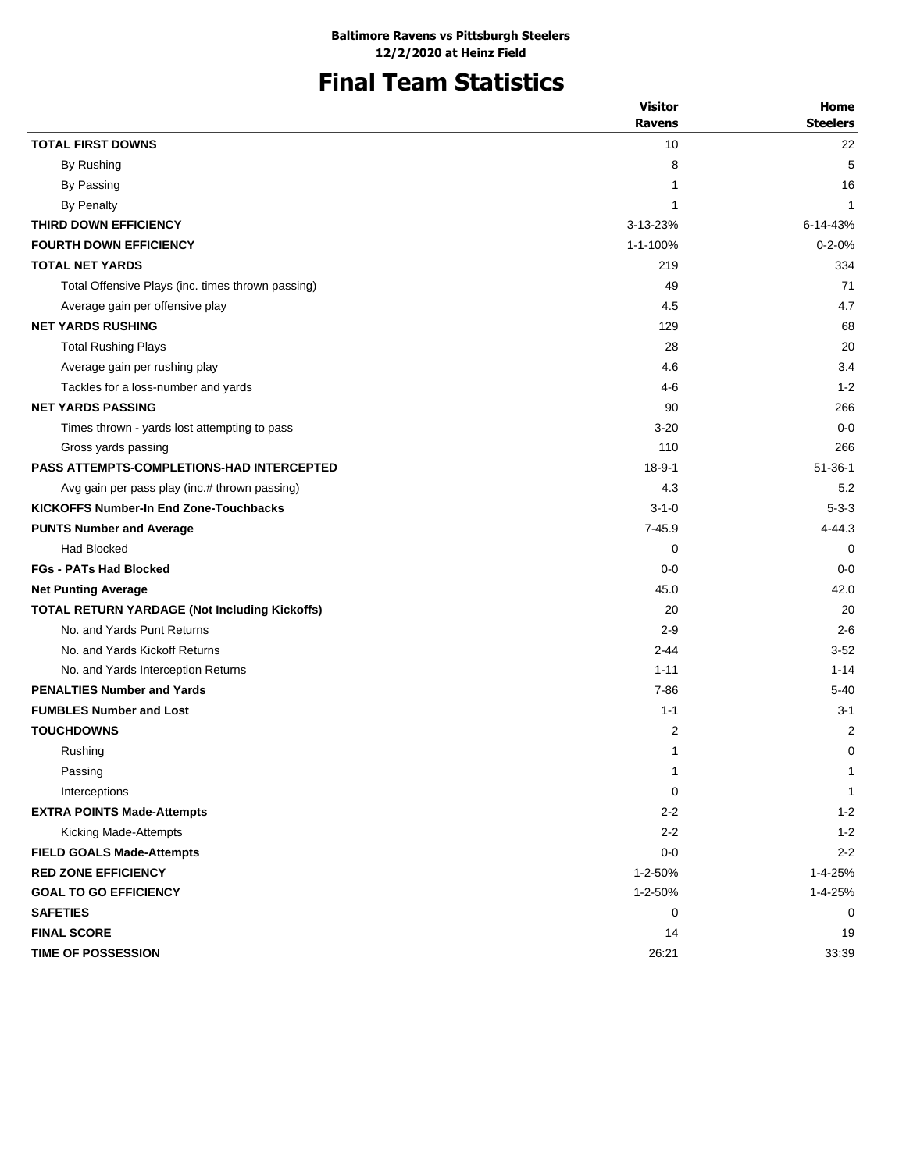# **Final Team Statistics**

|                                                      | <b>Visitor</b> | Home            |
|------------------------------------------------------|----------------|-----------------|
|                                                      | <b>Ravens</b>  | <b>Steelers</b> |
| <b>TOTAL FIRST DOWNS</b>                             | 10             | 22              |
| By Rushing                                           | 8              | 5               |
| By Passing                                           | 1              | 16              |
| <b>By Penalty</b>                                    | 1              | $\mathbf{1}$    |
| THIRD DOWN EFFICIENCY                                | 3-13-23%       | 6-14-43%        |
| <b>FOURTH DOWN EFFICIENCY</b>                        | 1-1-100%       | $0 - 2 - 0%$    |
| <b>TOTAL NET YARDS</b>                               | 219            | 334             |
| Total Offensive Plays (inc. times thrown passing)    | 49             | 71              |
| Average gain per offensive play                      | 4.5            | 4.7             |
| <b>NET YARDS RUSHING</b>                             | 129            | 68              |
| <b>Total Rushing Plays</b>                           | 28             | 20              |
| Average gain per rushing play                        | 4.6            | 3.4             |
| Tackles for a loss-number and yards                  | 4-6            | $1 - 2$         |
| <b>NET YARDS PASSING</b>                             | 90             | 266             |
| Times thrown - yards lost attempting to pass         | $3 - 20$       | $0 - 0$         |
| Gross yards passing                                  | 110            | 266             |
| <b>PASS ATTEMPTS-COMPLETIONS-HAD INTERCEPTED</b>     | $18 - 9 - 1$   | $51 - 36 - 1$   |
| Avg gain per pass play (inc.# thrown passing)        | 4.3            | 5.2             |
| <b>KICKOFFS Number-In End Zone-Touchbacks</b>        | $3 - 1 - 0$    | $5 - 3 - 3$     |
| <b>PUNTS Number and Average</b>                      | $7 - 45.9$     | $4 - 44.3$      |
| <b>Had Blocked</b>                                   | 0              | $\mathbf 0$     |
| <b>FGs - PATs Had Blocked</b>                        | $0-0$          | $0 - 0$         |
| <b>Net Punting Average</b>                           | 45.0           | 42.0            |
| <b>TOTAL RETURN YARDAGE (Not Including Kickoffs)</b> | 20             | 20              |
| No. and Yards Punt Returns                           | $2 - 9$        | $2 - 6$         |
| No. and Yards Kickoff Returns                        | $2 - 44$       | $3 - 52$        |
| No. and Yards Interception Returns                   | $1 - 11$       | $1 - 14$        |
| <b>PENALTIES Number and Yards</b>                    | $7 - 86$       | $5 - 40$        |
| <b>FUMBLES Number and Lost</b>                       | $1 - 1$        | $3 - 1$         |
| <b>TOUCHDOWNS</b>                                    | $\overline{c}$ | 2               |
| Rushing                                              | 1              | 0               |
| Passing                                              | 1              | $\mathbf{1}$    |
| Interceptions                                        | 0              | 1               |
| <b>EXTRA POINTS Made-Attempts</b>                    | $2 - 2$        | $1 - 2$         |
| Kicking Made-Attempts                                | $2 - 2$        | $1 - 2$         |
| <b>FIELD GOALS Made-Attempts</b>                     | $0-0$          | $2 - 2$         |
| <b>RED ZONE EFFICIENCY</b>                           | 1-2-50%        | 1-4-25%         |
| <b>GOAL TO GO EFFICIENCY</b>                         | 1-2-50%        | 1-4-25%         |
| <b>SAFETIES</b>                                      | 0              | 0               |
| <b>FINAL SCORE</b>                                   | 14             | 19              |
| TIME OF POSSESSION                                   | 26:21          | 33:39           |
|                                                      |                |                 |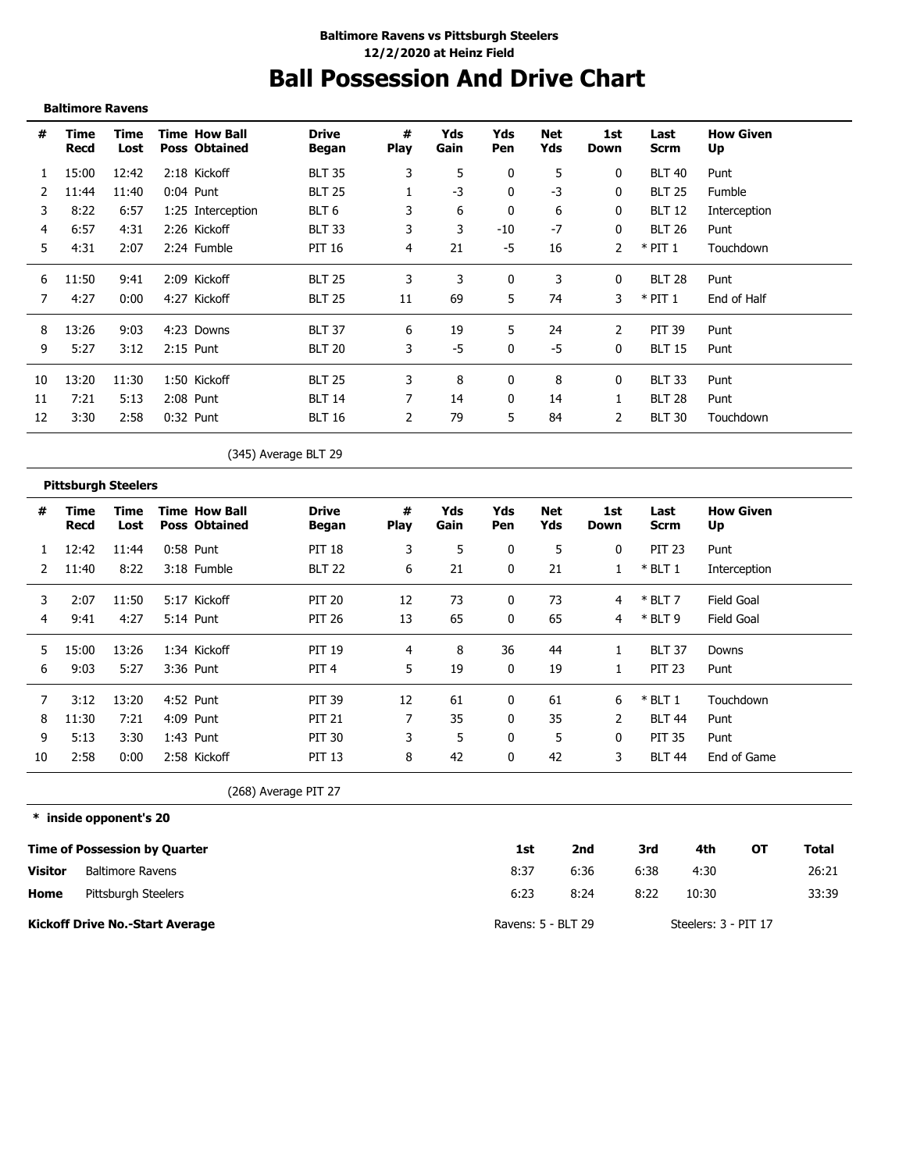# **Ball Possession And Drive Chart**

#### **Baltimore Ravens**

| #  | Time<br>Recd | Time<br>Lost | <b>Time How Ball</b><br><b>Poss Obtained</b> | <b>Drive</b><br>Began | #<br><b>Play</b> | Yds<br>Gain | Yds<br>Pen | Net<br>Yds | 1st<br>Down  | Last<br><b>Scrm</b> | <b>How Given</b><br>Up |
|----|--------------|--------------|----------------------------------------------|-----------------------|------------------|-------------|------------|------------|--------------|---------------------|------------------------|
|    | 15:00        | 12:42        | 2:18 Kickoff                                 | <b>BLT 35</b>         | 3                | 5           | 0          | 5          | 0            | <b>BLT 40</b>       | Punt                   |
|    | 11:44        | 11:40        | $0:04$ Punt                                  | <b>BLT 25</b>         |                  | $-3$        | 0          | $-3$       | 0            | <b>BLT 25</b>       | Fumble                 |
| 3  | 8:22         | 6:57         | 1:25 Interception                            | BLT <sub>6</sub>      | 3                | 6           | 0          | 6          | 0            | <b>BLT 12</b>       | Interception           |
| 4  | 6:57         | 4:31         | 2:26 Kickoff                                 | <b>BLT 33</b>         | 3                | 3           | -10        | $-7$       | 0            | <b>BLT 26</b>       | Punt                   |
| 5  | 4:31         | 2:07         | 2:24 Fumble                                  | PIT 16                | 4                | 21          | $-5$       | 16         |              | $*$ PIT 1           | Touchdown              |
| 6  | 11:50        | 9:41         | 2:09 Kickoff                                 | <b>BLT 25</b>         | 3                | 3           | 0          | 3          | $\mathbf{0}$ | <b>BLT 28</b>       | Punt                   |
| 7  | 4:27         | 0:00         | 4:27 Kickoff                                 | <b>BLT 25</b>         | 11               | 69          | 5          | 74         | 3            | $*$ PIT 1           | End of Half            |
| 8  | 13:26        | 9:03         | 4:23 Downs                                   | <b>BLT 37</b>         | 6                | 19          | 5.         | 24         | 2            | <b>PIT 39</b>       | Punt                   |
| 9  | 5:27         | 3:12         | $2:15$ Punt                                  | <b>BLT 20</b>         | 3                | -5          | 0          | $-5$       | 0            | <b>BLT 15</b>       | Punt                   |
| 10 | 13:20        | 11:30        | 1:50 Kickoff                                 | <b>BLT 25</b>         | 3                | 8           | 0          | 8          | 0            | <b>BLT 33</b>       | Punt                   |
| 11 | 7:21         | 5:13         | 2:08 Punt                                    | <b>BLT 14</b>         |                  | 14          | 0          | 14         |              | <b>BLT 28</b>       | Punt                   |
| 12 | 3:30         | 2:58         | $0:32$ Punt                                  | <b>BLT 16</b>         | 2                | 79          | 5          | 84         | 2            | <b>BLT 30</b>       | Touchdown              |

(345) Average BLT 29

#### **Pittsburgh Steelers**

| #  | Time<br>Recd | Time<br>Lost | <b>Time How Ball</b><br><b>Poss Obtained</b> | <b>Drive</b><br>Began | #<br><b>Play</b> | Yds<br>Gain | Yds<br>Pen | Net<br>Yds | 1st.<br>Down | Last<br>Scrm  | <b>How Given</b><br>Up |
|----|--------------|--------------|----------------------------------------------|-----------------------|------------------|-------------|------------|------------|--------------|---------------|------------------------|
|    | 12:42        | 11:44        | 0:58 Punt                                    | <b>PIT 18</b>         | 3                | 5           | 0          | 5          | 0            | <b>PIT 23</b> | Punt                   |
|    | 11:40        | 8:22         | 3:18 Fumble                                  | <b>BLT 22</b>         | 6                | 21          | 0          | 21         |              | $*$ BLT 1     | Interception           |
| 3  | 2:07         | 11:50        | 5:17 Kickoff                                 | <b>PIT 20</b>         | 12               | 73          | 0          | 73         | 4            | $*$ BLT 7     | Field Goal             |
| 4  | 9:41         | 4:27         | 5:14 Punt                                    | <b>PIT 26</b>         | 13               | 65          | $\Omega$   | 65         | 4            | $*$ BLT 9     | Field Goal             |
| 5. | 15:00        | 13:26        | 1:34 Kickoff                                 | <b>PIT 19</b>         | 4                | 8           | 36         | 44         |              | <b>BLT 37</b> | Downs                  |
| 6  | 9:03         | 5:27         | 3:36 Punt                                    | PIT <sub>4</sub>      | 5.               | 19          | 0          | 19         |              | <b>PIT 23</b> | Punt                   |
|    | 3:12         | 13:20        | 4:52 Punt                                    | <b>PIT 39</b>         | 12               | 61          | 0          | 61         | 6            | $*$ BLT 1     | Touchdown              |
| 8  | 11:30        | 7:21         | 4:09 Punt                                    | <b>PIT 21</b>         |                  | 35          | 0          | 35         | 2            | <b>BLT 44</b> | Punt                   |
| 9  | 5:13         | 3:30         | 1:43 Punt                                    | <b>PIT 30</b>         |                  | 5           | 0          | 5          | 0            | <b>PIT 35</b> | Punt                   |
| 10 | 2:58         | 0:00         | 2:58 Kickoff                                 | <b>PIT 13</b>         | 8                | 42          | 0          | 42         | 3            | <b>BLT 44</b> | End of Game            |

(268) Average PIT 27

|         | * inside opponent's 20                 |                    |      |      |                      |    |       |
|---------|----------------------------------------|--------------------|------|------|----------------------|----|-------|
|         | <b>Time of Possession by Quarter</b>   | 1st                | 2nd  | 3rd  | 4th                  | от | Total |
| Visitor | <b>Baltimore Ravens</b>                | 8:37               | 6:36 | 6:38 | 4:30                 |    | 26:21 |
| Home    | Pittsburgh Steelers                    | 6:23               | 8:24 | 8:22 | 10:30                |    | 33:39 |
|         | <b>Kickoff Drive No.-Start Average</b> | Ravens: 5 - BLT 29 |      |      | Steelers: 3 - PIT 17 |    |       |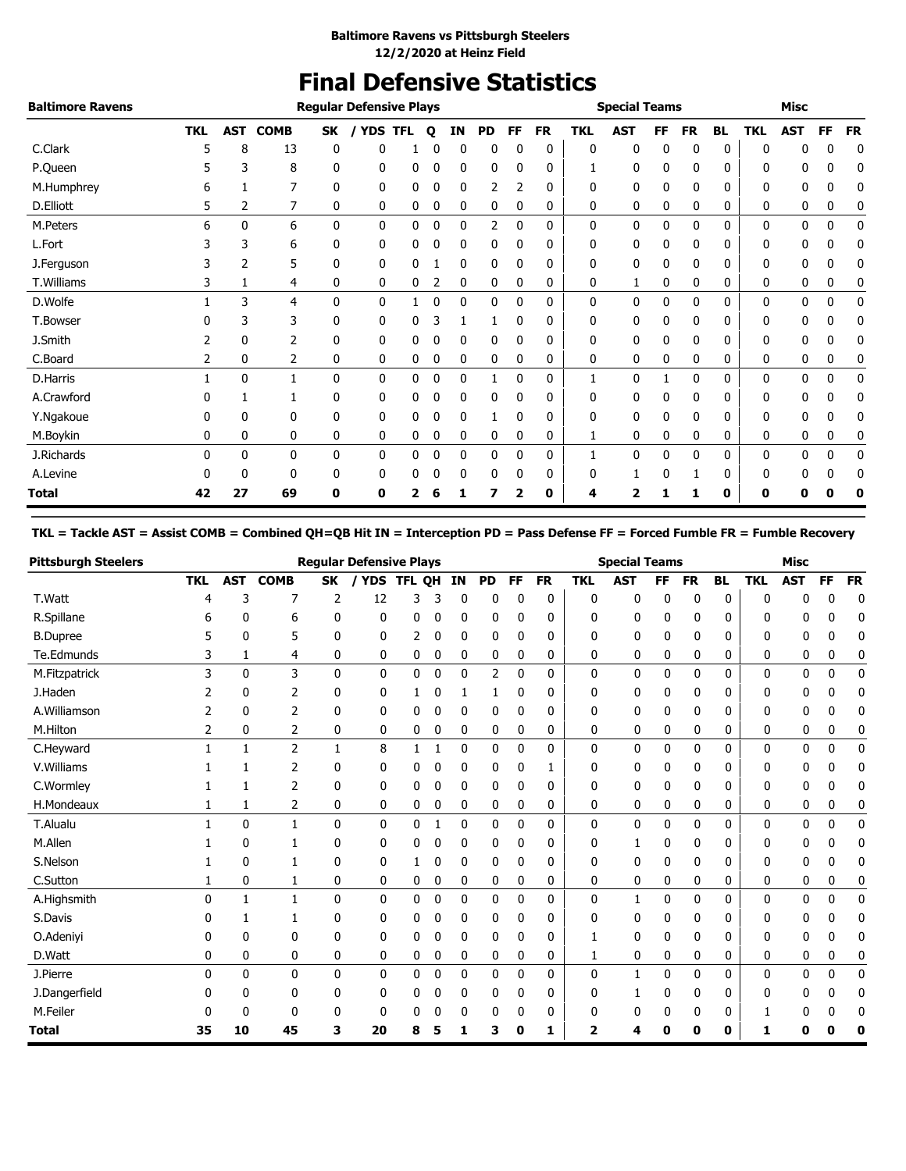## **Final Defensive Statistics**

| <b>Baltimore Ravens</b> |            |              |             |              | <b>Regular Defensive Plays</b> |            |   |              |           |              |           |            | <b>Special Teams</b> |    |    |           |            | <b>Misc</b> |              |           |
|-------------------------|------------|--------------|-------------|--------------|--------------------------------|------------|---|--------------|-----------|--------------|-----------|------------|----------------------|----|----|-----------|------------|-------------|--------------|-----------|
|                         | <b>TKL</b> | <b>AST</b>   | <b>COMB</b> | SK           | <b>YDS</b>                     | <b>TFL</b> | Q | ΙN           | <b>PD</b> | FF           | <b>FR</b> | <b>TKL</b> | <b>AST</b>           | FF | FR | <b>BL</b> | <b>TKL</b> | <b>AST</b>  | <b>FF</b>    | <b>FR</b> |
| C.Clark                 |            | 8            | 13          | 0            | 0                              |            |   | 0            | 0         |              | 0         | 0          | 0                    | 0  | 0  | 0         | O          |             | 0            | 0         |
| P.Queen                 |            | 3            | 8           | 0            | 0                              | 0          | 0 | 0            | 0         | 0            | 0         |            | 0                    | 0  | 0  | 0         | 0          | 0           | 0            | 0         |
| M.Humphrey              | 6          |              | 7           | 0            | 0                              | 0          | 0 | 0            | 2         |              | 0         | 0          | 0                    | 0  | 0  | 0         | 0          | 0           | 0            | 0         |
| D.Elliott               | 5          | 2            | 7           | 0            | 0                              | 0          | 0 | 0            | 0         | 0            | 0         | 0          | 0                    | 0  | 0  | 0         | 0          | 0           | 0            | 0         |
| M.Peters                | 6          | $\mathbf{0}$ | 6           | $\mathbf{0}$ | 0                              | 0          | 0 | 0            | 2         | 0            | 0         | 0          | 0                    | 0  | 0  | 0         | 0          | 0           | $\mathbf{0}$ | 0         |
| L.Fort                  |            | 3            | 6           | 0            | 0                              | 0          | 0 | 0            | 0         | $\mathbf{0}$ | 0         | 0          | 0                    | 0  | 0  | 0         | 0          | 0           | 0            | 0         |
| J.Ferguson              |            | 2            | 5           | 0            | 0                              | 0          |   | 0            | 0         | 0            | 0         | 0          | 0                    | 0  | 0  | 0         | 0          | 0           | 0            | 0         |
| T.Williams              |            |              | 4           | 0            | 0                              | 0          | 2 | 0            | 0         | 0            | 0         | 0          |                      | 0  | 0  | 0         | 0          | 0           | 0            | 0         |
| D.Wolfe                 |            | 3            | 4           | $\mathbf{0}$ | 0                              |            | 0 | 0            | 0         | $\mathbf{0}$ | 0         | 0          | 0                    | 0  | 0  | 0         | 0          | 0           | 0            | 0         |
| T.Bowser                |            | 3            | 3           | 0            | 0                              | 0          | 3 |              | 1         | 0            | 0         | 0          | 0                    | 0  | 0  | 0         | 0          | 0           | 0            | 0         |
| J.Smith                 |            | 0            |             | 0            | 0                              | 0          | 0 | 0            | 0         | 0            | 0         | 0          | 0                    | 0  | 0  | 0         | 0          | 0           | 0            | 0         |
| C.Board                 | 2          | 0            | 2           | 0            | 0                              | 0          | 0 | 0            | 0         | 0            | 0         | 0          | 0                    | 0  | 0  | 0         | 0          | 0           | 0            | 0         |
| D.Harris                |            | 0            |             | $\mathbf{0}$ | 0                              | 0          | 0 | $\mathbf{0}$ |           | $\mathbf{0}$ | 0         | 1          | 0                    |    | 0  | 0         | 0          | 0           | 0            | 0         |
| A.Crawford              |            |              |             | 0            | 0                              | 0          | 0 | 0            | 0         | 0            | 0         | 0          | 0                    | 0  | 0  | 0         | 0          | 0           | 0            | 0         |
| Y.Ngakoue               |            | 0            | 0           | 0            | 0                              | 0          | 0 | 0            |           |              | 0         | 0          | 0                    | 0  | 0  | 0         | 0          | 0           | 0            | 0         |
| M.Boykin                | 0          | 0            | 0           | 0            | 0                              | 0          | 0 | 0            | 0         | 0            | 0         | 1          | 0                    | 0  | 0  | 0         | 0          | 0           | 0            | 0         |
| J.Richards              | 0          | 0            | 0           | 0            | 0                              | 0          | 0 | 0            | 0         | 0            | 0         | 1          | 0                    | 0  | 0  | 0         | 0          | 0           | 0            | 0         |
| A.Levine                |            | 0            | 0           | 0            | 0                              | 0          | 0 | 0            | 0         | 0            | 0         | 0          |                      | 0  |    | 0         | 0          | 0           | 0            | 0         |
| Total                   | 42         | 27           | 69          | 0            | 0                              | 2          |   |              |           |              | 0         | 4          | 2                    |    |    | 0         | 0          | Ω           | Ω            | 0         |

#### **TKL = Tackle AST = Assist COMB = Combined QH=QB Hit IN = Interception PD = Pass Defense FF = Forced Fumble FR = Fumble Recovery**

| <b>Pittsburgh Steelers</b> |              |              |                |              | <b>Regular Defensive Plays</b> |              |              |    |           |           |           |              | <b>Special Teams</b> |              |           |              |            | <b>Misc</b>  |              |              |
|----------------------------|--------------|--------------|----------------|--------------|--------------------------------|--------------|--------------|----|-----------|-----------|-----------|--------------|----------------------|--------------|-----------|--------------|------------|--------------|--------------|--------------|
|                            | <b>TKL</b>   | <b>AST</b>   | <b>COMB</b>    | <b>SK</b>    | / YDS                          | <b>TFL</b>   | <b>OH</b>    | IN | <b>PD</b> | <b>FF</b> | <b>FR</b> | <b>TKL</b>   | <b>AST</b>           | <b>FF</b>    | <b>FR</b> | <b>BL</b>    | <b>TKL</b> | <b>AST</b>   | <b>FF</b>    | <b>FR</b>    |
| T.Watt                     | 4            | 3            | 7              | 2            | 12                             | 3            | 3            | 0  | 0         | 0         | 0         | 0            | 0                    | 0            | 0         | 0            | 0          | 0            | 0            | $\mathbf 0$  |
| R.Spillane                 | 6            | 0            | 6              | 0            | 0                              | 0            | 0            | 0  | 0         | 0         | 0         | 0            | 0                    | 0            | 0         | 0            | ŋ          | 0            | 0            | 0            |
| <b>B.Dupree</b>            | 5            | 0            | 5              | 0            | 0                              | 2            | 0            | 0  | 0         | 0         | 0         | 0            | 0                    | 0            | 0         | 0            | 0          | 0            | 0            | 0            |
| Te.Edmunds                 | 3            | 1            | 4              | 0            | 0                              | 0            | 0            | 0  | 0         | 0         | 0         | 0            | 0                    | 0            | 0         | 0            | 0          | 0            | 0            | 0            |
| M.Fitzpatrick              | 3            | 0            | 3              | $\mathbf{0}$ | 0                              | 0            | 0            | 0  | 2         | 0         | 0         | 0            | 0                    | 0            | 0         | 0            | 0          | 0            | 0            | 0            |
| J.Haden                    |              | 0            | 2              | 0            | 0                              | 1            | 0            | 1  | 1         | 0         | 0         | 0            | 0                    | 0            | 0         | 0            | 0          | 0            | ŋ            | 0            |
| A.Williamson               |              | 0            | $\overline{2}$ | 0            | 0                              | 0            | 0            | 0  | 0         | 0         | 0         | 0            | 0                    | 0            | 0         | 0            | 0          | 0            | 0            | 0            |
| M.Hilton                   | 2            | 0            | $\overline{2}$ | 0            | 0                              | 0            | 0            | 0  | 0         | 0         | 0         | 0            | 0                    | 0            | 0         | 0            | 0          | 0            | 0            | 0            |
| C.Heyward                  | $\mathbf{1}$ | $\mathbf{1}$ | $\overline{2}$ | $\mathbf{1}$ | 8                              | $\mathbf{1}$ | $\mathbf{1}$ | 0  | 0         | 0         | 0         | 0            | 0                    | 0            | 0         | $\mathbf{0}$ | 0          | $\Omega$     | 0            | $\mathbf{0}$ |
| V. Williams                |              | 1            | $\overline{2}$ | 0            | 0                              | 0            | 0            | 0  | 0         | 0         | 1         | 0            | 0                    | 0            | 0         | 0            | 0          | 0            | 0            | 0            |
| C.Wormley                  |              |              | 2              | 0            | 0                              | 0            | 0            | 0  | 0         | 0         | 0         | 0            | 0                    | 0            | 0         | 0            | 0          | 0            | 0            | 0            |
| H.Mondeaux                 |              | 1            | 2              | 0            | 0                              | 0            | 0            | 0  | 0         | 0         | 0         | 0            | 0                    | 0            | 0         | 0            | 0          | 0            | 0            | 0            |
| T.Alualu                   | $\mathbf{1}$ | $\mathbf{0}$ | $\mathbf{1}$   | $\mathbf{0}$ | $\mathbf{0}$                   | $\mathbf{0}$ | 1            | 0  | 0         | 0         | 0         | $\mathbf{0}$ | 0                    | $\mathbf{0}$ | 0         | $\mathbf{0}$ | 0          | 0            | 0            | 0            |
| M.Allen                    |              | 0            | 1              | 0            | 0                              | 0            | 0            | 0  | 0         | 0         | 0         | 0            | 1                    | 0            | 0         | 0            | 0          | 0            | n            | 0            |
| S.Nelson                   |              | $\mathbf{0}$ | 1              | 0            | 0                              | 1            | 0            | 0  | 0         | 0         | 0         | 0            | 0                    | 0            | 0         | 0            | 0          | 0            | 0            | 0            |
| C.Sutton                   |              | 0            | 1              | 0            | 0                              | 0            | 0            | 0  | 0         | 0         | 0         | 0            | 0                    | 0            | 0         | 0            | 0          | 0            | 0            | 0            |
| A.Highsmith                | 0            | $\mathbf{1}$ | $\mathbf{1}$   | $\mathbf{0}$ | 0                              | 0            | 0            | 0  | 0         | 0         | 0         | 0            | $\mathbf{1}$         | 0            | 0         | $\mathbf{0}$ | 0          | 0            | 0            | 0            |
| S.Davis                    | n            | 1            | 1              | 0            | 0                              | 0            | 0            | 0  | 0         | 0         | 0         | 0            | 0                    | 0            | 0         | 0            | 0          | 0            | ŋ            | 0            |
| O.Adeniyi                  | 0            | 0            | 0              | 0            | 0                              | 0            | 0            | 0  | 0         | 0         | 0         |              | 0                    | 0            | 0         | 0            | 0          | 0            | 0            | 0            |
| D.Watt                     | 0            | 0            | 0              | 0            | 0                              | 0            | 0            | 0  | 0         | 0         | 0         | 1            | 0                    | 0            | 0         | 0            | 0          | 0            | 0            | 0            |
| J.Pierre                   | 0            | 0            | $\mathbf{0}$   | $\mathbf{0}$ | 0                              | $\mathbf{0}$ | 0            | 0  | 0         | 0         | 0         | 0            | $\mathbf{1}$         | $\mathbf{0}$ | 0         | 0            | 0          | $\mathbf{0}$ | $\mathbf{0}$ | 0            |
| J.Dangerfield              | n            | 0            | 0              | 0            | 0                              | 0            | 0            | 0  | 0         | 0         | 0         | 0            | 1                    | 0            | 0         | 0            | 0          | 0            | n            | 0            |
| M.Feiler                   |              | 0            | 0              | 0            | 0                              | 0            | 0            | 0  | 0         | 0         | 0         | 0            | 0                    | 0            | 0         | 0            |            | O            |              | 0            |
| <b>Total</b>               | 35           | 10           | 45             | 3            | 20                             | 8            | 5            |    | 3         | 0         | 1         | 2            | 4                    | 0            | 0         | 0            | 1          | 0            | 0            | 0            |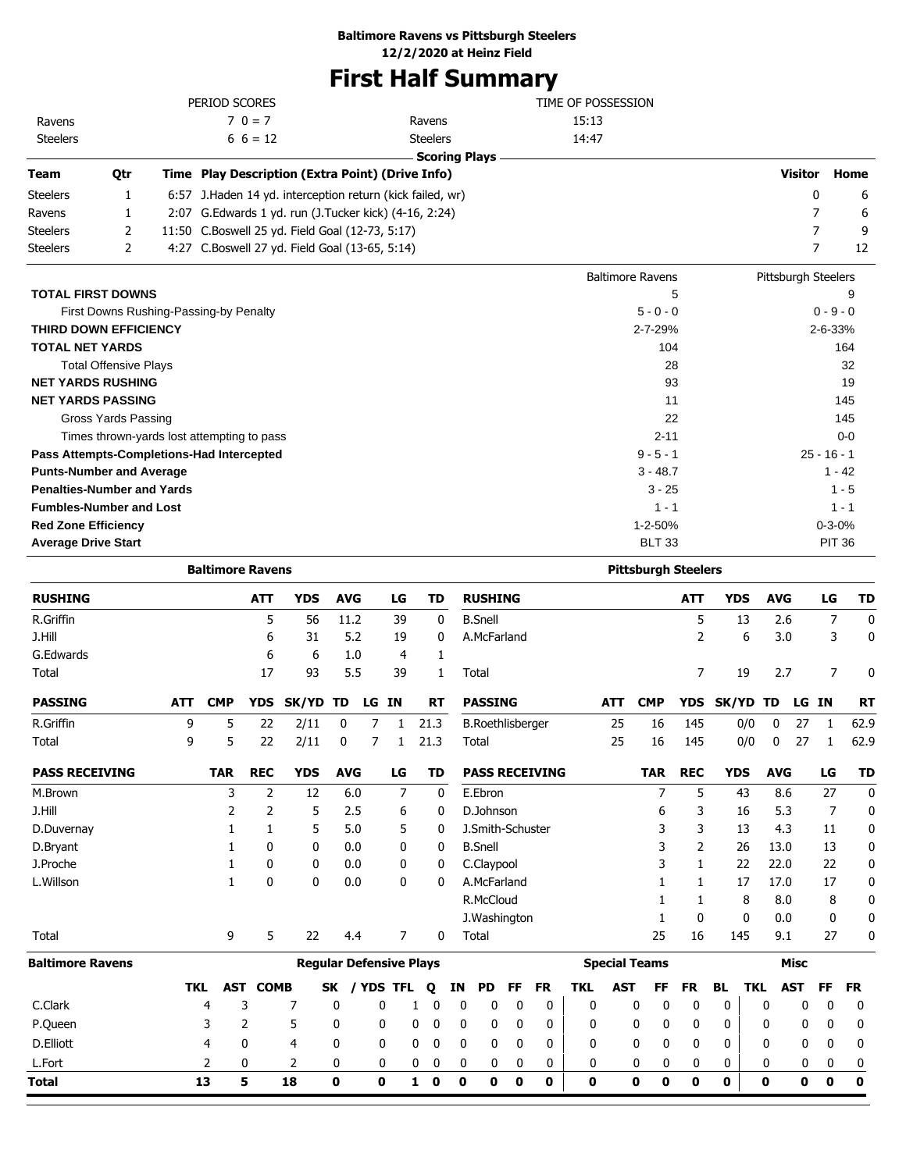### **Baltimore Ravens vs Pittsburgh Steelers**

**12/2/2020 at Heinz Field**

# **First Half Summary**

|                 |     | PERIOD SCORES                                              |                      | TIME OF POSSESSION      |                     |      |
|-----------------|-----|------------------------------------------------------------|----------------------|-------------------------|---------------------|------|
| Ravens          |     | $70 = 7$                                                   | Ravens               | 15:13                   |                     |      |
| <b>Steelers</b> |     | $6\;6=12$                                                  | <b>Steelers</b>      | 14:47                   |                     |      |
|                 |     |                                                            | <b>Scoring Plays</b> |                         |                     |      |
| <b>Team</b>     | Qtr | Time Play Description (Extra Point) (Drive Info)           |                      |                         | <b>Visitor</b>      | Home |
| <b>Steelers</b> |     | 6:57 J. Haden 14 yd. interception return (kick failed, wr) |                      |                         | 0                   | 6    |
| Ravens          |     | 2:07 G. Edwards 1 yd. run (J. Tucker kick) (4-16, 2:24)    |                      |                         |                     | 6    |
| <b>Steelers</b> | 2   | 11:50 C.Boswell 25 yd. Field Goal (12-73, 5:17)            |                      |                         |                     | 9    |
| <b>Steelers</b> |     | 4:27 C.Boswell 27 yd. Field Goal (13-65, 5:14)             |                      |                         |                     | 12   |
|                 |     |                                                            |                      | <b>Baltimore Ravens</b> | Pittsburgh Steelers |      |
|                 |     |                                                            |                      |                         |                     |      |

| <b>TOTAL FIRST DOWNS</b>                   | 5             | 9             |
|--------------------------------------------|---------------|---------------|
| First Downs Rushing-Passing-by Penalty     | $5 - 0 - 0$   | $0 - 9 - 0$   |
| <b>THIRD DOWN EFFICIENCY</b>               | $2 - 7 - 29%$ | $2 - 6 - 33%$ |
| <b>TOTAL NET YARDS</b>                     | 104           | 164           |
| <b>Total Offensive Plays</b>               | 28            | 32            |
| <b>NET YARDS RUSHING</b>                   | 93            | 19            |
| <b>NET YARDS PASSING</b>                   | 11            | 145           |
| Gross Yards Passing                        | 22            | 145           |
| Times thrown-yards lost attempting to pass | $2 - 11$      | $0-0$         |
| Pass Attempts-Completions-Had Intercepted  | $9 - 5 - 1$   | $25 - 16 - 1$ |
| <b>Punts-Number and Average</b>            | $3 - 48.7$    | $1 - 42$      |
| <b>Penalties-Number and Yards</b>          | $3 - 25$      | $1 - 5$       |
| <b>Fumbles-Number and Lost</b>             | $1 - 1$       | $1 - 1$       |
| <b>Red Zone Efficiency</b>                 | 1-2-50%       | $0 - 3 - 0%$  |
| <b>Average Drive Start</b>                 | <b>BLT 33</b> | <b>PIT 36</b> |

|                         |            | <b>Baltimore Ravens</b> |                |                                |              |       |                |      |           |             |                         |             |                       |              |            | <b>Pittsburgh Steelers</b> |                |              |              |              |             |                |              |
|-------------------------|------------|-------------------------|----------------|--------------------------------|--------------|-------|----------------|------|-----------|-------------|-------------------------|-------------|-----------------------|--------------|------------|----------------------------|----------------|--------------|--------------|--------------|-------------|----------------|--------------|
| <b>RUSHING</b>          |            |                         | <b>ATT</b>     | <b>YDS</b>                     | <b>AVG</b>   |       | LG             |      | <b>TD</b> |             | <b>RUSHING</b>          |             |                       |              |            |                            | <b>ATT</b>     | <b>YDS</b>   |              | <b>AVG</b>   |             | LG             | <b>TD</b>    |
| R.Griffin               |            |                         | 5              | 56                             | 11.2         |       | 39             |      | 0         |             | <b>B.Snell</b>          |             |                       |              |            |                            | 5              |              | 13           | 2.6          |             | $\overline{7}$ | $\mathbf 0$  |
| J.Hill                  |            |                         | 6              | 31                             | 5.2          |       | 19             |      | 0         |             | A.McFarland             |             |                       |              |            |                            | $\overline{2}$ |              | 6            | 3.0          |             | 3              | $\mathbf 0$  |
| G.Edwards               |            |                         | 6              | 6                              | 1.0          |       | 4              |      | 1         |             |                         |             |                       |              |            |                            |                |              |              |              |             |                |              |
| Total                   |            |                         | 17             | 93                             | 5.5          |       | 39             |      | 1         |             | Total                   |             |                       |              |            |                            | $\overline{7}$ |              | 19           | 2.7          |             | $\overline{7}$ | $\mathbf{0}$ |
| <b>PASSING</b>          | <b>ATT</b> | <b>CMP</b>              | <b>YDS</b>     | SK/YD                          | TD           | LG IN |                |      | <b>RT</b> |             | <b>PASSING</b>          |             |                       |              | <b>ATT</b> | <b>CMP</b>                 | <b>YDS</b>     | <b>SK/YD</b> |              | <b>TD</b>    | LG IN       |                | <b>RT</b>    |
| R.Griffin               | 9          | 5                       | 22             | 2/11                           | 0            | 7     | $\mathbf{1}$   | 21.3 |           |             | <b>B.Roethlisberger</b> |             |                       |              | 25         | 16                         | 145            |              | 0/0          | $\mathbf{0}$ | 27          | 1              | 62.9         |
| Total                   | 9          | 5                       | 22             | 2/11                           | 0            | 7     | $\mathbf{1}$   | 21.3 |           |             | Total                   |             |                       |              | 25         | 16                         | 145            |              | 0/0          | 0            | 27          | 1              | 62.9         |
| <b>PASS RECEIVING</b>   |            | <b>TAR</b>              | <b>REC</b>     | <b>YDS</b>                     | <b>AVG</b>   |       | LG             |      | TD        |             |                         |             | <b>PASS RECEIVING</b> |              |            | <b>TAR</b>                 | <b>REC</b>     | <b>YDS</b>   |              | <b>AVG</b>   |             | LG             | <b>TD</b>    |
| M.Brown                 |            | 3                       | 2              | 12                             | 6.0          |       | $\overline{7}$ |      | 0         |             | E.Ebron                 |             |                       |              |            | 7                          | 5              |              | 43           | 8.6          |             | 27             | $\mathbf 0$  |
| J.Hill                  |            | 2                       | $\overline{2}$ | 5                              | 2.5          |       | 6              |      | 0         |             | D.Johnson               |             |                       |              |            | 6                          | 3              |              | 16           | 5.3          |             | 7              | 0            |
| D.Duvernay              |            |                         | 1              | 5                              | 5.0          |       | 5              |      | 0         |             | J.Smith-Schuster        |             |                       |              |            | 3                          | 3              |              | 13           | 4.3          |             | 11             | 0            |
| D.Bryant                |            |                         | $\mathbf{0}$   | 0                              | 0.0          |       | 0              |      | 0         |             | <b>B.Snell</b>          |             |                       |              |            | 3                          | $\overline{2}$ |              | 26           | 13.0         |             | 13             | 0            |
| J.Proche                |            |                         | 0              | 0                              | 0.0          |       | 0              |      | 0         |             | C.Claypool              |             |                       |              |            | 3                          | 1              |              | 22           | 22.0         |             | 22             | 0            |
| L.Willson               |            | 1                       | $\mathbf{0}$   | 0                              | 0.0          |       | $\mathbf{0}$   |      | 0         |             | A.McFarland             |             |                       |              |            | 1                          | 1              |              | 17           | 17.0         |             | 17             | 0            |
|                         |            |                         |                |                                |              |       |                |      |           |             | R.McCloud               |             |                       |              |            |                            | 1              |              | 8            | 8.0          |             | 8              | $\mathbf 0$  |
|                         |            |                         |                |                                |              |       |                |      |           |             | J. Washington           |             |                       |              |            | 1                          | 0              |              | $\mathbf{0}$ | 0.0          |             | 0              | $\mathbf 0$  |
| Total                   |            | 9                       | 5              | 22                             | 4.4          |       | 7              |      | 0         |             | Total                   |             |                       |              |            | 25                         | 16             |              | 145          | 9.1          |             | 27             | 0            |
| <b>Baltimore Ravens</b> |            |                         |                | <b>Reqular Defensive Plays</b> |              |       |                |      |           |             |                         |             |                       |              |            | <b>Special Teams</b>       |                |              |              |              | <b>Misc</b> |                |              |
|                         | <b>TKL</b> | <b>AST</b>              | <b>COMB</b>    |                                | <b>SK</b>    |       | / YDS TFL      | Q    |           | ΙN          | <b>PD</b>               | FF          | <b>FR</b>             | <b>TKL</b>   | <b>AST</b> | FF                         | <b>FR</b>      | <b>BL</b>    | <b>TKL</b>   |              | <b>AST</b>  | FF             | <b>FR</b>    |
| C.Clark                 |            | 4                       | 3              | 7                              | 0            | 0     |                |      | 0         | 0           | 0                       | 0           | 0                     | $\mathbf{0}$ |            | 0<br>0                     | 0              | 0            |              | 0            | 0           | 0              | 0            |
| P.Queen                 |            | 3                       | 2              | 5                              | 0            | 0     |                | 0    | 0         | 0           | 0                       | $\mathbf 0$ | 0                     | 0            |            | 0<br>0                     | 0              | 0            |              | 0            | 0           | 0              | 0            |
| D.Elliott               |            | 4                       | 0              | 4                              | 0            |       | 0              | 0    | 0         | $\mathbf 0$ | 0                       | 0           | 0                     | 0            |            | $\mathbf{0}$<br>0          | 0              | 0            |              | 0            | 0           | 0              | 0            |
| L.Fort                  |            | $\overline{2}$          | 0              | 2                              | 0            |       | 0              | 0    | 0         | 0           | 0                       | 0           | 0                     | 0            |            | 0<br>0                     | 0              | 0            |              | 0            | 0           | 0              | 0            |
| <b>Total</b>            |            | 13                      | 5              | 18                             | $\mathbf{0}$ | 0     |                | 1    | 0         | 0           | 0                       | 0           | 0                     | $\mathbf 0$  |            | $\mathbf 0$<br>O           | 0              | $\mathbf 0$  |              | 0            | 0           | 0              | $\mathbf 0$  |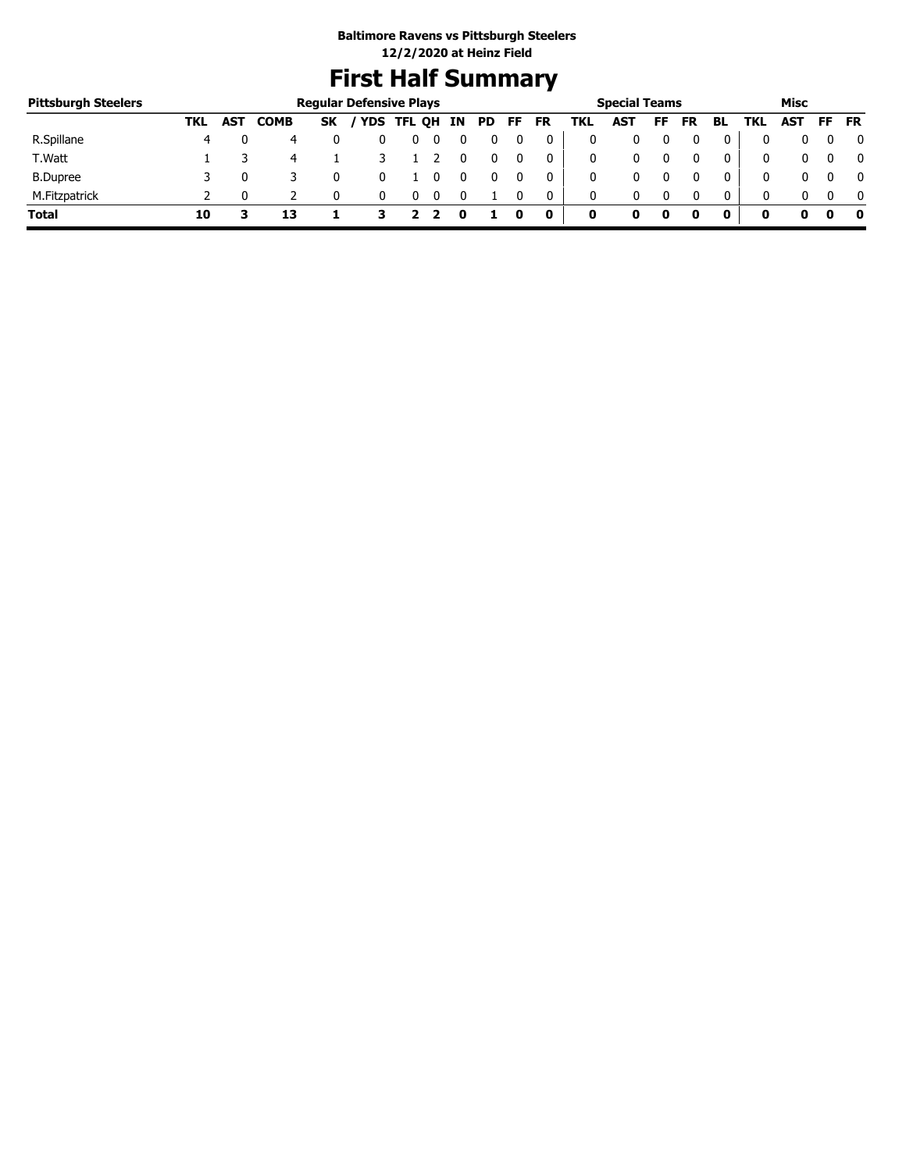# **First Half Summary**

| <b>Pittsburgh Steelers</b> |     |            |             |           | <b>Regular Defensive Plays</b> |            |     |     |     |           |     | <b>Special Teams</b> |    |           |              |     | Misc       |           |              |
|----------------------------|-----|------------|-------------|-----------|--------------------------------|------------|-----|-----|-----|-----------|-----|----------------------|----|-----------|--------------|-----|------------|-----------|--------------|
|                            | TKL | <b>AST</b> | <b>COMB</b> | <b>SK</b> |                                | YDS TFL QH | IN. | PD. | FF. | <b>FR</b> | TKL | <b>AST</b>           | FF | <b>FR</b> | BL           | TKL | <b>AST</b> | <b>FF</b> | <b>FR</b>    |
| R.Spillane                 | 4   |            | 4           |           |                                | υ          |     |     |     |           |     |                      |    |           |              |     |            |           | 0            |
| T.Watt                     |     |            | 4           |           |                                |            |     |     |     | 0         |     | 0                    |    |           | 0            | 0   |            |           | $\mathbf{0}$ |
| <b>B.Dupree</b>            |     |            |             |           |                                |            |     |     |     | 0         |     | 0                    |    |           | 0            | 0   |            |           | $\mathbf{0}$ |
| M.Fitzpatrick              |     |            |             |           |                                |            |     |     |     | 0         | 0   | 0                    |    |           | $\mathbf{0}$ | 0   |            |           | $\mathbf{0}$ |
| Total                      | 10  |            | 13          |           |                                |            |     |     |     | 0         | 0   |                      | 0  |           | 0            |     |            |           | - 0          |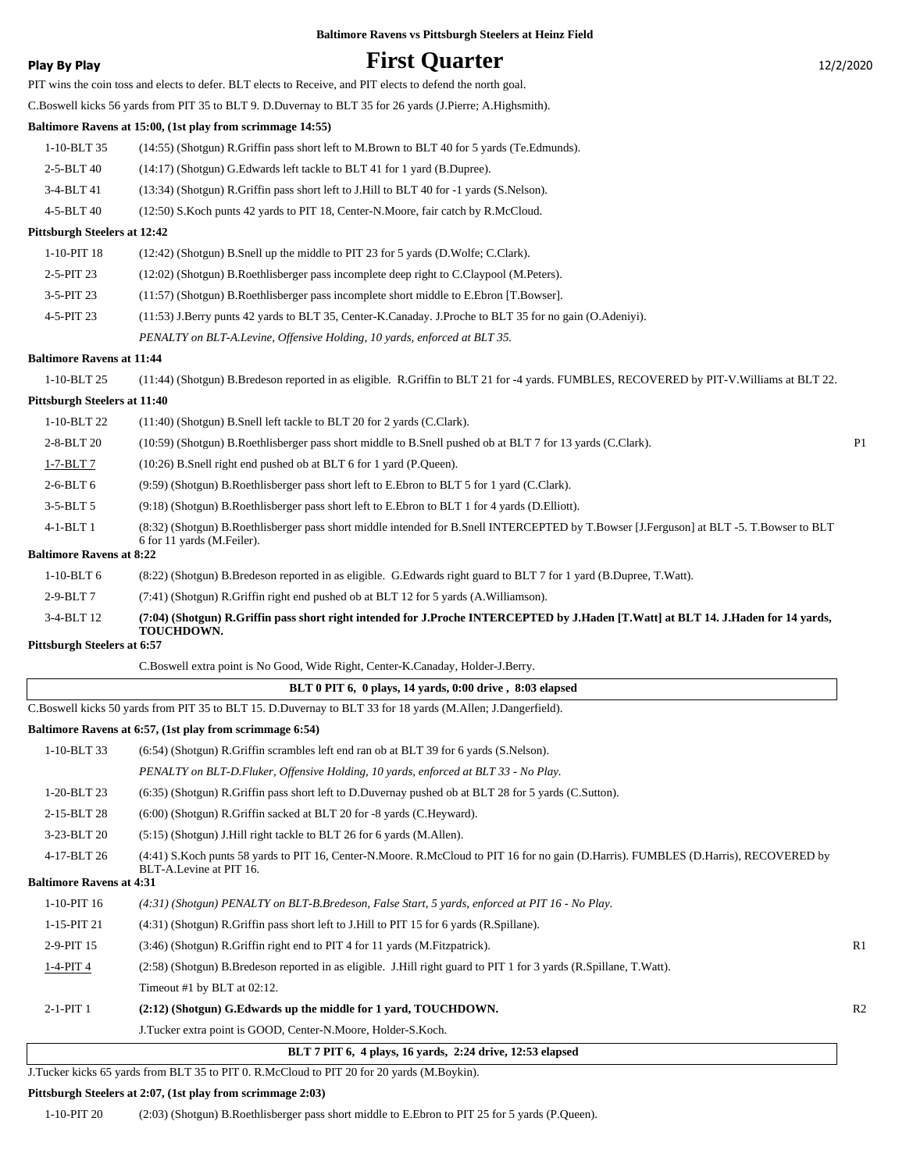### **Play By Play First Quarter** 12/2/2020

PIT wins the coin toss and elects to defer. BLT elects to Receive, and PIT elects to defend the north goal. C.Boswell kicks 56 yards from PIT 35 to BLT 9. D.Duvernay to BLT 35 for 26 yards (J.Pierre; A.Highsmith). **Baltimore Ravens at 15:00, (1st play from scrimmage 14:55)** 1-10-BLT 35 (14:55) (Shotgun) R.Griffin pass short left to M.Brown to BLT 40 for 5 yards (Te.Edmunds). 2-5-BLT 40 (14:17) (Shotgun) G.Edwards left tackle to BLT 41 for 1 yard (B.Dupree). 3-4-BLT 41 (13:34) (Shotgun) R.Griffin pass short left to J.Hill to BLT 40 for -1 yards (S.Nelson).

4-5-BLT 40 (12:50) S.Koch punts 42 yards to PIT 18, Center-N.Moore, fair catch by R.McCloud.

#### **Pittsburgh Steelers at 12:42**

| 1-10-PIT 18  | (12:42) (Shotgun) B. Snell up the middle to PIT 23 for 5 yards (D. Wolfe: C. Clark).                    |
|--------------|---------------------------------------------------------------------------------------------------------|
| $2-5-PIT$ 23 | (12:02) (Shotgun) B.Roethlisberger pass incomplete deep right to C.Claypool (M.Peters).                 |
| $3-5-PIT$ 23 | (11:57) (Shotgun) B.Roethlisberger pass incomplete short middle to E.Ebron [T.Bowser].                  |
| $4-5-PIT$ 23 | (11:53) J.Berry punts 42 yards to BLT 35, Center-K.Canaday. J.Proche to BLT 35 for no gain (O.Adeniyi). |
|              |                                                                                                         |

*PENALTY on BLT-A.Levine, Offensive Holding, 10 yards, enforced at BLT 35.*

#### **Baltimore Ravens at 11:44**

1-10-BLT 25 (11:44) (Shotgun) B.Bredeson reported in as eligible. R.Griffin to BLT 21 for -4 yards. FUMBLES, RECOVERED by PIT-V.Williams at BLT 22.

#### **Pittsburgh Steelers at 11:40**

| $1-10-BLT$ 22                   | $(11:40)$ (Shotgun) B.Snell left tackle to BLT 20 for 2 yards (C.Clark).                                                                                               |                |
|---------------------------------|------------------------------------------------------------------------------------------------------------------------------------------------------------------------|----------------|
| 2-8-BLT 20                      | (10:59) (Shotgun) B.Roethlisberger pass short middle to B.Snell pushed ob at BLT 7 for 13 yards (C.Clark).                                                             | P <sub>1</sub> |
| $1-7-BLT7$                      | (10:26) B.Snell right end pushed ob at BLT 6 for 1 vard (P.Queen).                                                                                                     |                |
| $2-6-BLT6$                      | (9.59) (Shotgun) B.Roethlisberger pass short left to E.Ebron to BLT 5 for 1 yard (C.Clark).                                                                            |                |
| $3-5-BLT5$                      | (9.18) (Shotgun) B.Roethlisberger pass short left to E.Ebron to BLT 1 for 4 yards (D.Elliott).                                                                         |                |
| $4-1-BLT1$                      | (8:32) (Shotgun) B.Roethlisberger pass short middle intended for B.Snell INTERCEPTED by T.Bowser [J.Ferguson] at BLT -5. T.Bowser to BLT<br>6 for 11 vards (M.Feiler). |                |
| <b>Baltimore Ravens at 8:22</b> |                                                                                                                                                                        |                |

1-10-BLT 6 (8:22) (Shotgun) B.Bredeson reported in as eligible. G.Edwards right guard to BLT 7 for 1 yard (B.Dupree, T.Watt).

2-9-BLT 7 (7:41) (Shotgun) R.Griffin right end pushed ob at BLT 12 for 5 yards (A.Williamson).

**(7:04) (Shotgun) R.Griffin pass short right intended for J.Proche INTERCEPTED by J.Haden [T.Watt] at BLT 14. J.Haden for 14 yards, TOUCHDOWN.** 3-4-BLT 12

#### **Pittsburgh Steelers at 6:57**

C.Boswell extra point is No Good, Wide Right, Center-K.Canaday, Holder-J.Berry.

#### **BLT 0 PIT 6, 0 plays, 14 yards, 0:00 drive , 8:03 elapsed**

C.Boswell kicks 50 yards from PIT 35 to BLT 15. D.Duvernay to BLT 33 for 18 yards (M.Allen; J.Dangerfield).

#### **Baltimore Ravens at 6:57, (1st play from scrimmage 6:54)**

|                                 | المستقل المستقل المستقل المستقل المستقل المستقل المستقل المستقل المستقل                                                                                              |                |
|---------------------------------|----------------------------------------------------------------------------------------------------------------------------------------------------------------------|----------------|
| $1-10-BLT33$                    | (6.54) (Shotgun) R.Griffin scrambles left end ran ob at BLT 39 for 6 yards (S.Nelson).                                                                               |                |
|                                 | PENALTY on BLT-D.Fluker, Offensive Holding, 10 yards, enforced at BLT 33 - No Play.                                                                                  |                |
| 1-20-BLT 23                     | (6:35) (Shotgun) R.Griffin pass short left to D.Duvernay pushed ob at BLT 28 for 5 yards (C.Sutton).                                                                 |                |
| 2-15-BLT 28                     | $(6:00)$ (Shotgun) R. Griffin sacked at BLT 20 for -8 yards (C. Heyward).                                                                                            |                |
| 3-23-BLT 20                     | $(5:15)$ (Shotgun) J. Hill right tackle to BLT 26 for 6 yards (M. Allen).                                                                                            |                |
| 4-17-BLT 26                     | (4:41) S. Koch punts 58 yards to PIT 16, Center-N. Moore. R. McCloud to PIT 16 for no gain (D. Harris). FUMBLES (D. Harris), RECOVERED by<br>BLT-A.Levine at PIT 16. |                |
| <b>Baltimore Ravens at 4:31</b> |                                                                                                                                                                      |                |
| $1-10-PIT$ 16                   | $(4:31)$ (Shotgun) PENALTY on BLT-B.Bredeson, False Start, 5 yards, enforced at PIT 16 - No Play.                                                                    |                |
| 1-15-PIT 21                     | (4:31) (Shotgun) R.Griffin pass short left to J.Hill to PIT 15 for 6 yards (R.Spillane).                                                                             |                |
| 2-9-PIT 15                      | (3:46) (Shotgun) R. Griffin right end to PIT 4 for 11 yards (M. Fitzpatrick).                                                                                        | R <sub>1</sub> |
| $1-4-PIT4$                      | (2.58) (Shotgun) B.Bredeson reported in as eligible. J.Hill right guard to PIT 1 for 3 yards (R.Spillane, T.Watt).                                                   |                |
|                                 | Timeout #1 by BLT at $02:12$ .                                                                                                                                       |                |
| $2-1-PIT1$                      | (2:12) (Shotgun) G. Edwards up the middle for 1 yard, TOUCHDOWN.                                                                                                     | R <sub>2</sub> |
|                                 | J.Tucker extra point is GOOD, Center-N.Moore, Holder-S.Koch.                                                                                                         |                |

#### **BLT 7 PIT 6, 4 plays, 16 yards, 2:24 drive, 12:53 elapsed**

J.Tucker kicks 65 yards from BLT 35 to PIT 0. R.McCloud to PIT 20 for 20 yards (M.Boykin).

#### **Pittsburgh Steelers at 2:07, (1st play from scrimmage 2:03)**

1-10-PIT 20 (2:03) (Shotgun) B.Roethlisberger pass short middle to E.Ebron to PIT 25 for 5 yards (P.Queen).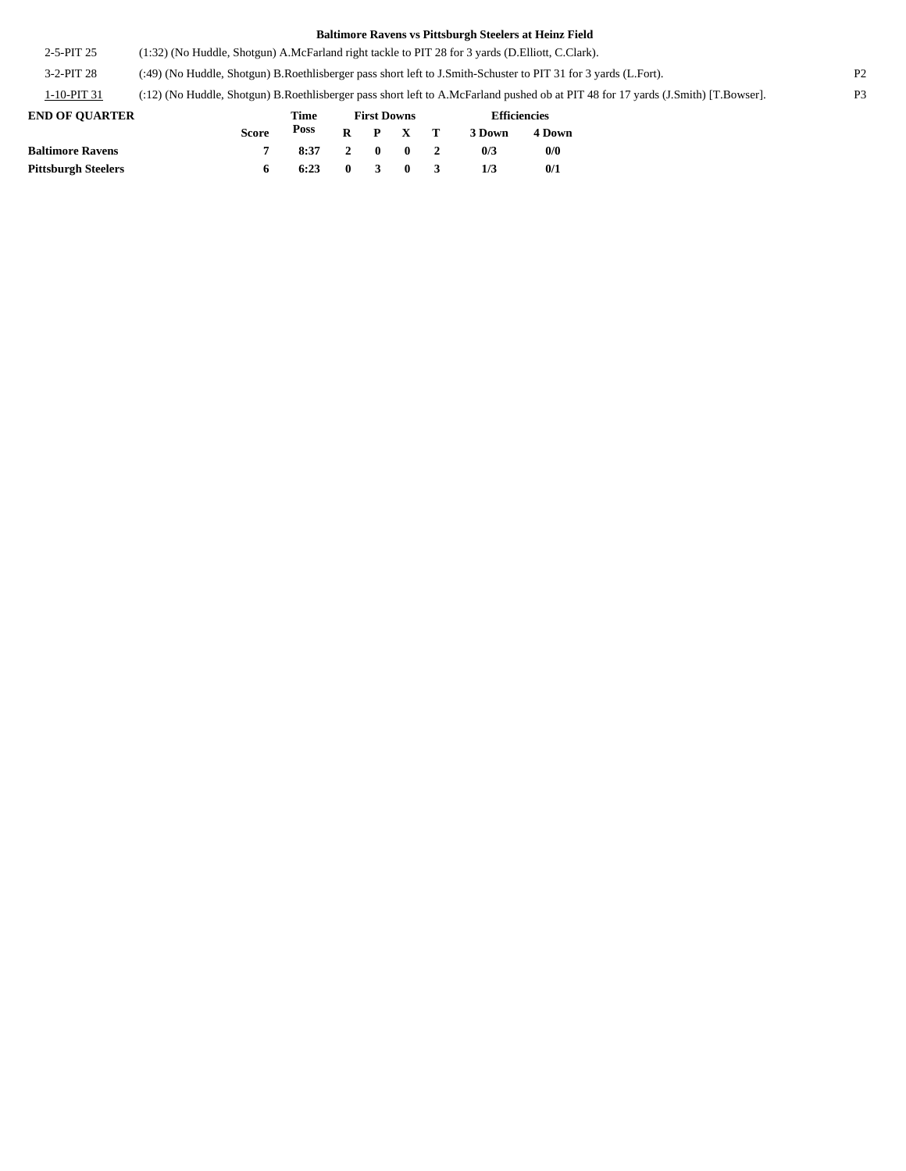2-5-PIT 25 (1:32) (No Huddle, Shotgun) A.McFarland right tackle to PIT 28 for 3 yards (D.Elliott, C.Clark).

3-2-PIT 28 (:49) (No Huddle, Shotgun) B.Roethlisberger pass short left to J.Smith-Schuster to PIT 31 for 3 yards (L.Fort). P2

1-10-PIT 31 (:12) (No Huddle, Shotgun) B.Roethlisberger pass short left to A.McFarland pushed ob at PIT 48 for 17 yards (J.Smith) [T.Bowser]. P3

| <b>END OF OUARTER</b>      |              | Time |         |  | <b>First Downs</b> | <b>Efficiencies</b> |        |
|----------------------------|--------------|------|---------|--|--------------------|---------------------|--------|
|                            | <b>Score</b> | Poss |         |  | $R$ $P$ $X$ $T$    | 3 Down              | 4 Down |
| <b>Baltimore Ravens</b>    |              | 8:37 |         |  | 2 0 0 2            | 0/3                 | 0/0    |
| <b>Pittsburgh Steelers</b> |              | 6:23 | 0 3 0 3 |  |                    | 1/3                 | 0/1    |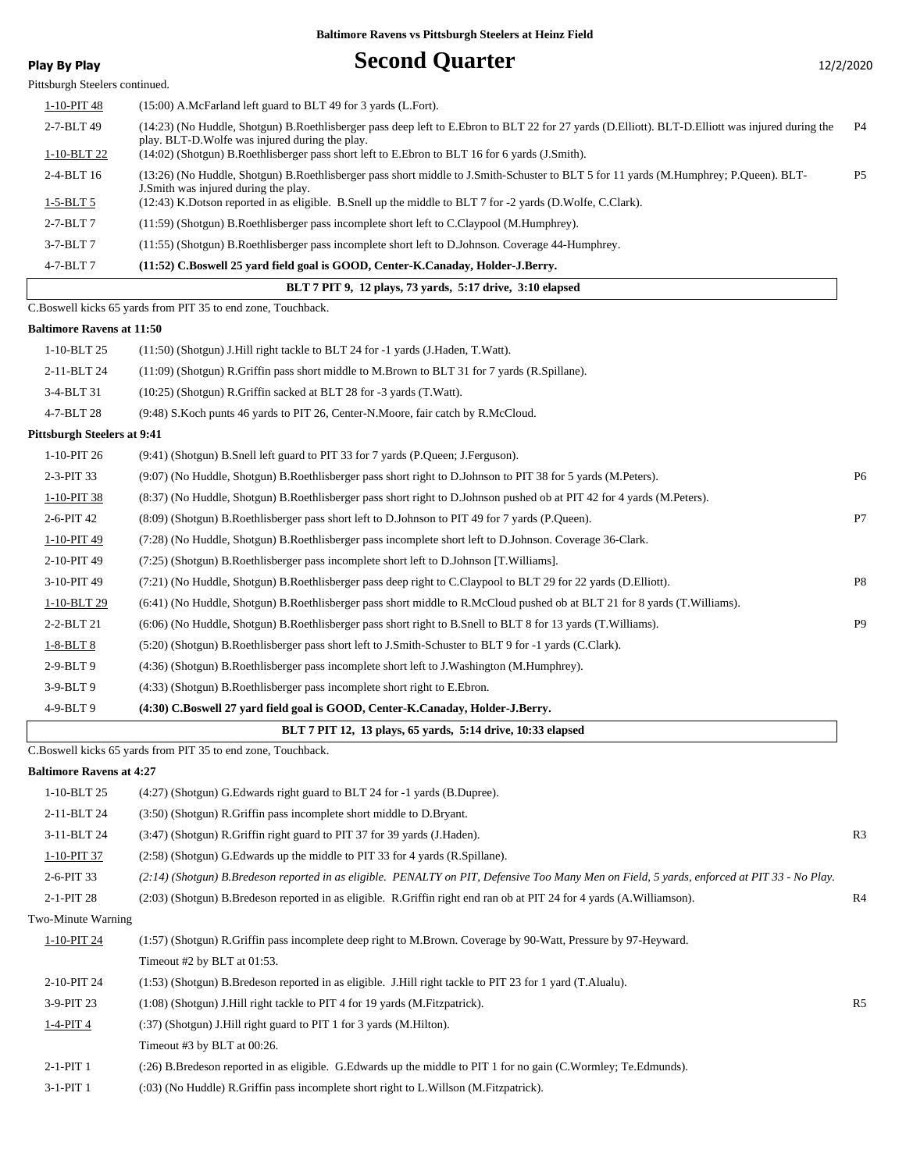### **Play By Play Play Play Second Quarter** 12/2/2020

| <b>Fidy Dy Fidy</b> |  |  |
|---------------------|--|--|
|                     |  |  |

Pittsburgh Steelers continued. 1-10-PIT 48 (15:00) A.McFarland left guard to BLT 49 for 3 yards (L.Fort). 2-7-BLT 49 (14:23) (No Huddle, Shotgun) B.Roethlisberger pass deep left to E.Ebron to BLT 22 for 27 yards (D.Elliott). BLT-D.Elliott was injured during the P4 play. BLT-D.Wolfe was injured during the play. 1-10-BLT 22 (14:02) (Shotgun) B.Roethlisberger pass short left to E.Ebron to BLT 16 for 6 yards (J.Smith). 2-4-BLT 16 (13:26) (No Huddle, Shotgun) B.Roethlisberger pass short middle to J.Smith-Schuster to BLT 5 for 11 yards (M.Humphrey; P.Queen). BLT-J.Smith was injured during the play. 1-5-BLT 5 (12:43) K.Dotson reported in as eligible. B.Snell up the middle to BLT 7 for -2 yards (D.Wolfe, C.Clark). 2-7-BLT 7 (11:59) (Shotgun) B.Roethlisberger pass incomplete short left to C.Claypool (M.Humphrey). 3-7-BLT 7 (11:55) (Shotgun) B.Roethlisberger pass incomplete short left to D.Johnson. Coverage 44-Humphrey. 4-7-BLT 7 **(11:52) C.Boswell 25 yard field goal is GOOD, Center-K.Canaday, Holder-J.Berry. BLT 7 PIT 9, 12 plays, 73 yards, 5:17 drive, 3:10 elapsed** C.Boswell kicks 65 yards from PIT 35 to end zone, Touchback. **Baltimore Ravens at 11:50**

| Baltimore Ravens at 11:50          |                                                                                                                           |                |
|------------------------------------|---------------------------------------------------------------------------------------------------------------------------|----------------|
| 1-10-BLT 25                        | $(11:50)$ (Shotgun) J. Hill right tackle to BLT 24 for -1 yards (J. Haden, T. Watt).                                      |                |
| 2-11-BLT 24                        | (11:09) (Shotgun) R.Griffin pass short middle to M.Brown to BLT 31 for 7 yards (R.Spillane).                              |                |
| 3-4-BLT 31                         | (10:25) (Shotgun) R. Griffin sacked at BLT 28 for -3 yards (T. Watt).                                                     |                |
| 4-7-BLT 28                         | (9:48) S. Koch punts 46 yards to PIT 26, Center-N. Moore, fair catch by R. McCloud.                                       |                |
| <b>Pittsburgh Steelers at 9:41</b> |                                                                                                                           |                |
| 1-10-PIT 26                        | (9:41) (Shotgun) B.Snell left guard to PIT 33 for 7 yards (P.Queen; J.Ferguson).                                          |                |
| 2-3-PIT 33                         | (9:07) (No Huddle, Shotgun) B.Roethlisberger pass short right to D.Johnson to PIT 38 for 5 yards (M.Peters).              | P <sub>6</sub> |
| 1-10-PIT 38                        | (8:37) (No Huddle, Shotgun) B.Roethlisberger pass short right to D.Johnson pushed ob at PIT 42 for 4 yards (M.Peters).    |                |
| 2-6-PIT 42                         | (8:09) (Shotgun) B.Roethlisberger pass short left to D.Johnson to PIT 49 for 7 yards (P.Queen).                           | P7             |
| 1-10-PIT 49                        | (7:28) (No Huddle, Shotgun) B.Roethlisberger pass incomplete short left to D.Johnson. Coverage 36-Clark.                  |                |
| 2-10-PIT 49                        | (7:25) (Shotgun) B.Roethlisberger pass incomplete short left to D.Johnson [T.Williams].                                   |                |
| 3-10-PIT 49                        | (7:21) (No Huddle, Shotgun) B.Roethlisberger pass deep right to C.Claypool to BLT 29 for 22 yards (D.Elliott).            | P8             |
| 1-10-BLT 29                        | (6:41) (No Huddle, Shotgun) B.Roethlisberger pass short middle to R.McCloud pushed ob at BLT 21 for 8 yards (T.Williams). |                |
| 2-2-BLT 21                         | (6:06) (No Huddle, Shotgun) B.Roethlisberger pass short right to B.Snell to BLT 8 for 13 yards (T.Williams).              | P <sub>9</sub> |
| $1-8-BLT8$                         | (5:20) (Shotgun) B.Roethlisberger pass short left to J.Smith-Schuster to BLT 9 for -1 yards (C.Clark).                    |                |
| 2-9-BLT9                           | (4:36) (Shotgun) B.Roethlisberger pass incomplete short left to J.Washington (M.Humphrey).                                |                |
| $3-9-BLT9$                         | (4:33) (Shotgun) B.Roethlisberger pass incomplete short right to E.Ebron.                                                 |                |
| 4-9-BLT9                           | (4:30) C.Boswell 27 yard field goal is GOOD, Center-K.Canaday, Holder-J.Berry.                                            |                |
|                                    | BLT 7 PIT 12, 13 plays, 65 vards, 5:14 drive, 10:33 elapsed                                                               |                |
|                                    |                                                                                                                           |                |

C.Boswell kicks 65 yards from PIT 35 to end zone, Touchback.

#### **Baltimore Ravens at 4:27**

| 1-10-BLT 25        | (4:27) (Shotgun) G. Edwards right guard to BLT 24 for -1 yards (B. Dupree).                                                                  |                |
|--------------------|----------------------------------------------------------------------------------------------------------------------------------------------|----------------|
| 2-11-BLT 24        | (3:50) (Shotgun) R.Griffin pass incomplete short middle to D.Bryant.                                                                         |                |
| 3-11-BLT 24        | (3:47) (Shotgun) R.Griffin right guard to PIT 37 for 39 yards (J.Haden).                                                                     | R <sub>3</sub> |
| 1-10-PIT 37        | (2.58) (Shotgun) G. Edwards up the middle to PIT 33 for 4 yards (R. Spillane).                                                               |                |
| 2-6-PIT 33         | (2:14) (Shotgun) B.Bredeson reported in as eligible. PENALTY on PIT, Defensive Too Many Men on Field, 5 yards, enforced at PIT 33 - No Play. |                |
| 2-1-PIT 28         | (2:03) (Shotgun) B.Bredeson reported in as eligible. R.Griffin right end ran ob at PIT 24 for 4 yards (A.Williamson).                        | R4             |
| Two-Minute Warning |                                                                                                                                              |                |
| 1-10-PIT 24        | (1:57) (Shotgun) R.Griffin pass incomplete deep right to M.Brown. Coverage by 90-Watt, Pressure by 97-Heyward.                               |                |
|                    | Timeout $#2$ by BLT at 01:53.                                                                                                                |                |
| 2-10-PIT 24        | (1:53) (Shotgun) B.Bredeson reported in as eligible. J.Hill right tackle to PIT 23 for 1 yard (T.Alualu).                                    |                |
| 3-9-PIT 23         | (1:08) (Shotgun) J. Hill right tackle to PIT 4 for 19 yards (M. Fitzpatrick).                                                                | R <sub>5</sub> |
| $1-4-PIT4$         | (:37) (Shotgun) J. Hill right guard to PIT 1 for 3 yards (M. Hilton).                                                                        |                |
|                    | Timeout #3 by BLT at $00:26$ .                                                                                                               |                |
| $2-1-PIT1$         | (:26) B.Bredeson reported in as eligible. G.Edwards up the middle to PIT 1 for no gain (C.Wormley; Te.Edmunds).                              |                |
| $3-1-PIT1$         | (:03) (No Huddle) R.Griffin pass incomplete short right to L.Willson (M.Fitzpatrick).                                                        |                |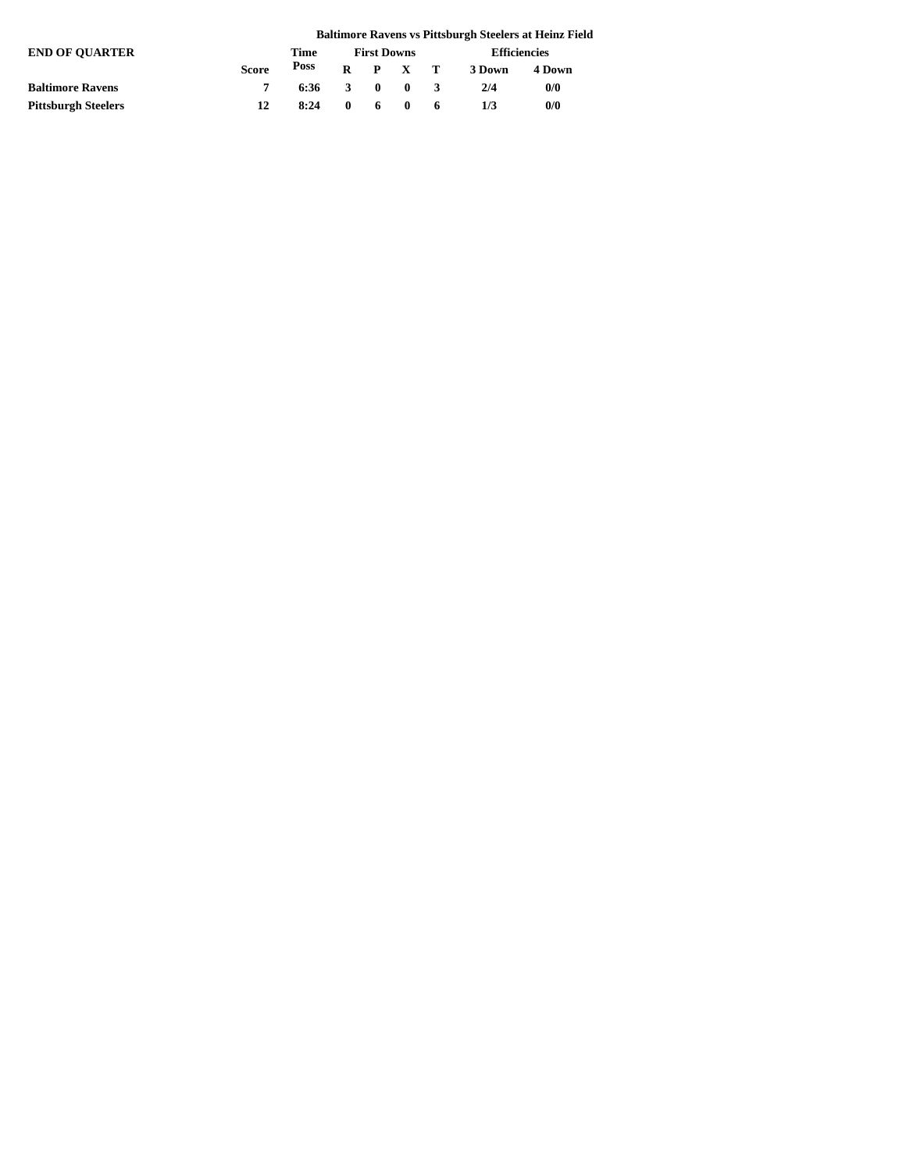|                            |              |      |                    |    |                                                  |    |                     | <b>Baltimore Ravens vs Pittsburgh Steelers at Heinz Field</b> |  |  |
|----------------------------|--------------|------|--------------------|----|--------------------------------------------------|----|---------------------|---------------------------------------------------------------|--|--|
| <b>END OF OUARTER</b>      |              | Time | <b>First Downs</b> |    |                                                  |    | <b>Efficiencies</b> |                                                               |  |  |
|                            | <b>Score</b> | Poss |                    |    | $R$ $P$ $X$ $T$                                  |    | 3 Down              | 4 Down                                                        |  |  |
| <b>Baltimore Ravens</b>    |              | 6:36 | 3                  |    | $\begin{array}{ccc} & & 0 & \quad 0 \end{array}$ |    | 2/4                 | 0/0                                                           |  |  |
| <b>Pittsburgh Steelers</b> | 12           | 8:24 | $\mathbf{0}$       | 6. |                                                  | -6 | 1/3                 | 0/0                                                           |  |  |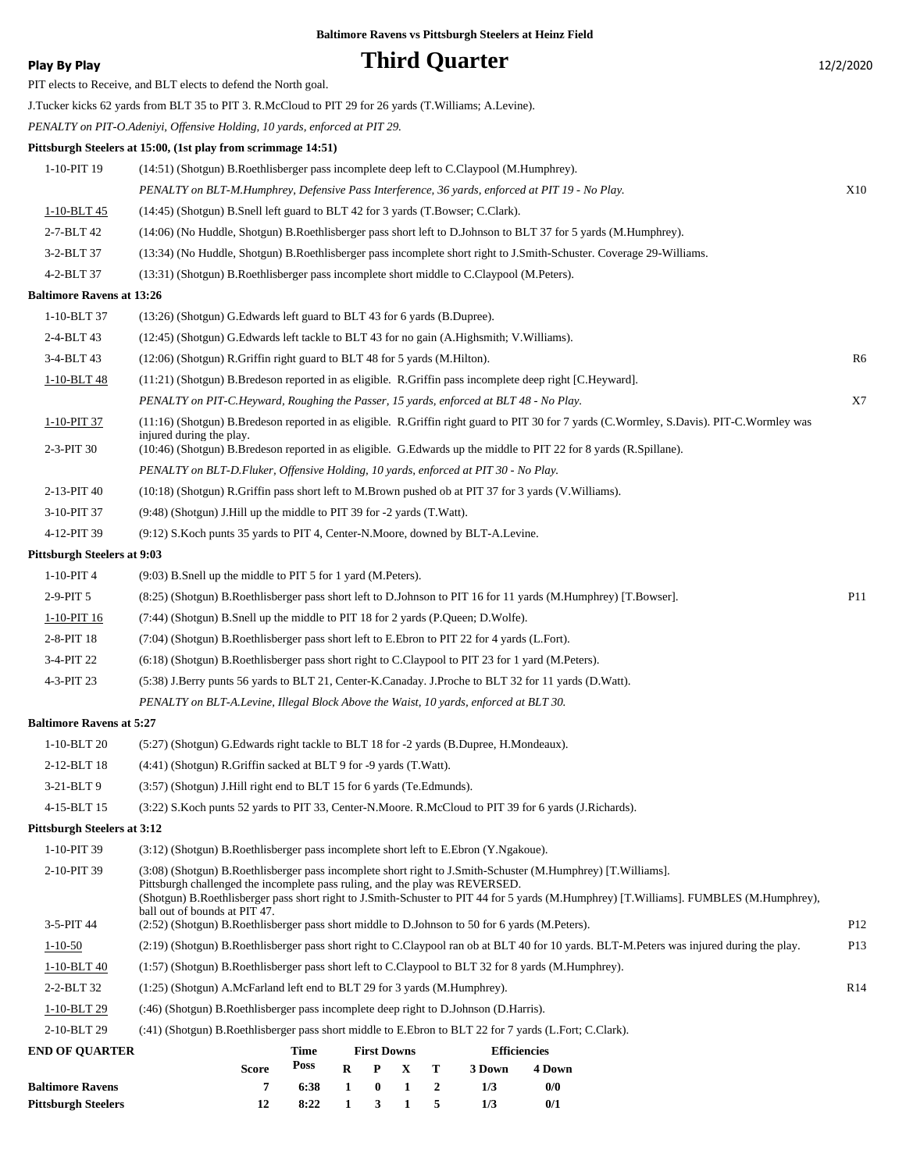|  |  | Play By Play |
|--|--|--------------|
|--|--|--------------|

**Phird Quarter** 12/2/2020 PIT elects to Receive, and BLT elects to defend the North goal. J.Tucker kicks 62 yards from BLT 35 to PIT 3. R.McCloud to PIT 29 for 26 yards (T.Williams; A.Levine). *PENALTY on PIT-O.Adeniyi, Offensive Holding, 10 yards, enforced at PIT 29.* **Pittsburgh Steelers at 15:00, (1st play from scrimmage 14:51)** 1-10-PIT 19 (14:51) (Shotgun) B.Roethlisberger pass incomplete deep left to C.Claypool (M.Humphrey). *PENALTY on BLT-M.Humphrey, Defensive Pass Interference, 36 yards, enforced at PIT 19 - No Play.* X10 1-10-BLT 45 (14:45) (Shotgun) B.Snell left guard to BLT 42 for 3 yards (T.Bowser; C.Clark). 2-7-BLT 42 (14:06) (No Huddle, Shotgun) B.Roethlisberger pass short left to D.Johnson to BLT 37 for 5 yards (M.Humphrey). 3-2-BLT 37 (13:34) (No Huddle, Shotgun) B.Roethlisberger pass incomplete short right to J.Smith-Schuster. Coverage 29-Williams. 4-2-BLT 37 (13:31) (Shotgun) B.Roethlisberger pass incomplete short middle to C.Claypool (M.Peters). **Baltimore Ravens at 13:26** 1-10-BLT 37 (13:26) (Shotgun) G.Edwards left guard to BLT 43 for 6 yards (B.Dupree). 2-4-BLT 43 (12:45) (Shotgun) G.Edwards left tackle to BLT 43 for no gain (A.Highsmith; V.Williams). 3-4-BLT 43 (12:06) (Shotgun) R.Griffin right guard to BLT 48 for 5 yards (M.Hilton). R6 1-10-BLT 48 (11:21) (Shotgun) B.Bredeson reported in as eligible. R.Griffin pass incomplete deep right [C.Heyward]. *PENALTY on PIT-C.Heyward, Roughing the Passer, 15 yards, enforced at BLT 48 - No Play.* X7 (11:16) (Shotgun) B.Bredeson reported in as eligible. R.Griffin right guard to PIT 30 for 7 yards (C.Wormley, S.Davis). PIT-C.Wormley was injured during the play. 1-10-PIT 37 2-3-PIT 30 (10:46) (Shotgun) B.Bredeson reported in as eligible. G.Edwards up the middle to PIT 22 for 8 yards (R.Spillane). *PENALTY on BLT-D.Fluker, Offensive Holding, 10 yards, enforced at PIT 30 - No Play.* 2-13-PIT 40 (10:18) (Shotgun) R.Griffin pass short left to M.Brown pushed ob at PIT 37 for 3 yards (V.Williams). 3-10-PIT 37 (9:48) (Shotgun) J.Hill up the middle to PIT 39 for -2 yards (T.Watt). 4-12-PIT 39 (9:12) S.Koch punts 35 yards to PIT 4, Center-N.Moore, downed by BLT-A.Levine. **Pittsburgh Steelers at 9:03** 1-10-PIT 4 (9:03) B.Snell up the middle to PIT 5 for 1 yard (M.Peters). 2-9-PIT 5 (8:25) (Shotgun) B.Roethlisberger pass short left to D.Johnson to PIT 16 for 11 yards (M.Humphrey) [T.Bowser]. P11 1-10-PIT 16 (7:44) (Shotgun) B.Snell up the middle to PIT 18 for 2 yards (P.Queen; D.Wolfe). 2-8-PIT 18 (7:04) (Shotgun) B.Roethlisberger pass short left to E.Ebron to PIT 22 for 4 yards (L.Fort). 3-4-PIT 22 (6:18) (Shotgun) B.Roethlisberger pass short right to C.Claypool to PIT 23 for 1 yard (M.Peters). 4-3-PIT 23 (5:38) J.Berry punts 56 yards to BLT 21, Center-K.Canaday. J.Proche to BLT 32 for 11 yards (D.Watt). *PENALTY on BLT-A.Levine, Illegal Block Above the Waist, 10 yards, enforced at BLT 30.* **Baltimore Ravens at 5:27** 1-10-BLT 20 (5:27) (Shotgun) G.Edwards right tackle to BLT 18 for -2 yards (B.Dupree, H.Mondeaux). 2-12-BLT 18 (4:41) (Shotgun) R.Griffin sacked at BLT 9 for -9 yards (T.Watt). 3-21-BLT 9 (3:57) (Shotgun) J.Hill right end to BLT 15 for 6 yards (Te.Edmunds). 4-15-BLT 15 (3:22) S.Koch punts 52 yards to PIT 33, Center-N.Moore. R.McCloud to PIT 39 for 6 yards (J.Richards). **Pittsburgh Steelers at 3:12** 1-10-PIT 39 (3:12) (Shotgun) B.Roethlisberger pass incomplete short left to E.Ebron (Y.Ngakoue). (3:08) (Shotgun) B.Roethlisberger pass incomplete short right to J.Smith-Schuster (M.Humphrey) [T.Williams]. Pittsburgh challenged the incomplete pass ruling, and the play was REVERSED. (Shotgun) B.Roethlisberger pass short right to J.Smith-Schuster to PIT 44 for 5 yards (M.Humphrey) [T.Williams]. FUMBLES (M.Humphrey), ball out of bounds at PIT 47. 2-10-PIT 39 3-5-PIT 44 (2:52) (Shotgun) B.Roethlisberger pass short middle to D.Johnson to 50 for 6 yards (M.Peters). P12 1-10-50 (2:19) (Shotgun) B.Roethlisberger pass short right to C.Claypool ran ob at BLT 40 for 10 yards. BLT-M.Peters was injured during the play. P13 1-10-BLT 40 (1:57) (Shotgun) B.Roethlisberger pass short left to C.Claypool to BLT 32 for 8 yards (M.Humphrey). 2-2-BLT 32 (1:25) (Shotgun) A.McFarland left end to BLT 29 for 3 yards (M.Humphrey). R14 1-10-BLT 29 (:46) (Shotgun) B.Roethlisberger pass incomplete deep right to D.Johnson (D.Harris). 2-10-BLT 29 (:41) (Shotgun) B.Roethlisberger pass short middle to E.Ebron to BLT 22 for 7 yards (L.Fort; C.Clark). **Baltimore Ravens vs Pittsburgh Steelers at Heinz Field**

| <b>END OF OUARTER</b>      |              | Time         | <b>First Downs</b> |                 | <b>Efficiencies</b> |        |  |
|----------------------------|--------------|--------------|--------------------|-----------------|---------------------|--------|--|
|                            | <b>Score</b> | Poss         |                    | $R$ $P$ $X$ $T$ | 3 Down              | 4 Down |  |
| <b>Baltimore Ravens</b>    |              | 6:38 1 0 1 2 |                    |                 | 173                 | 0/0    |  |
| <b>Pittsburgh Steelers</b> | 12           | 8:22 1 3 1 5 |                    |                 | 1/3                 | 0/1    |  |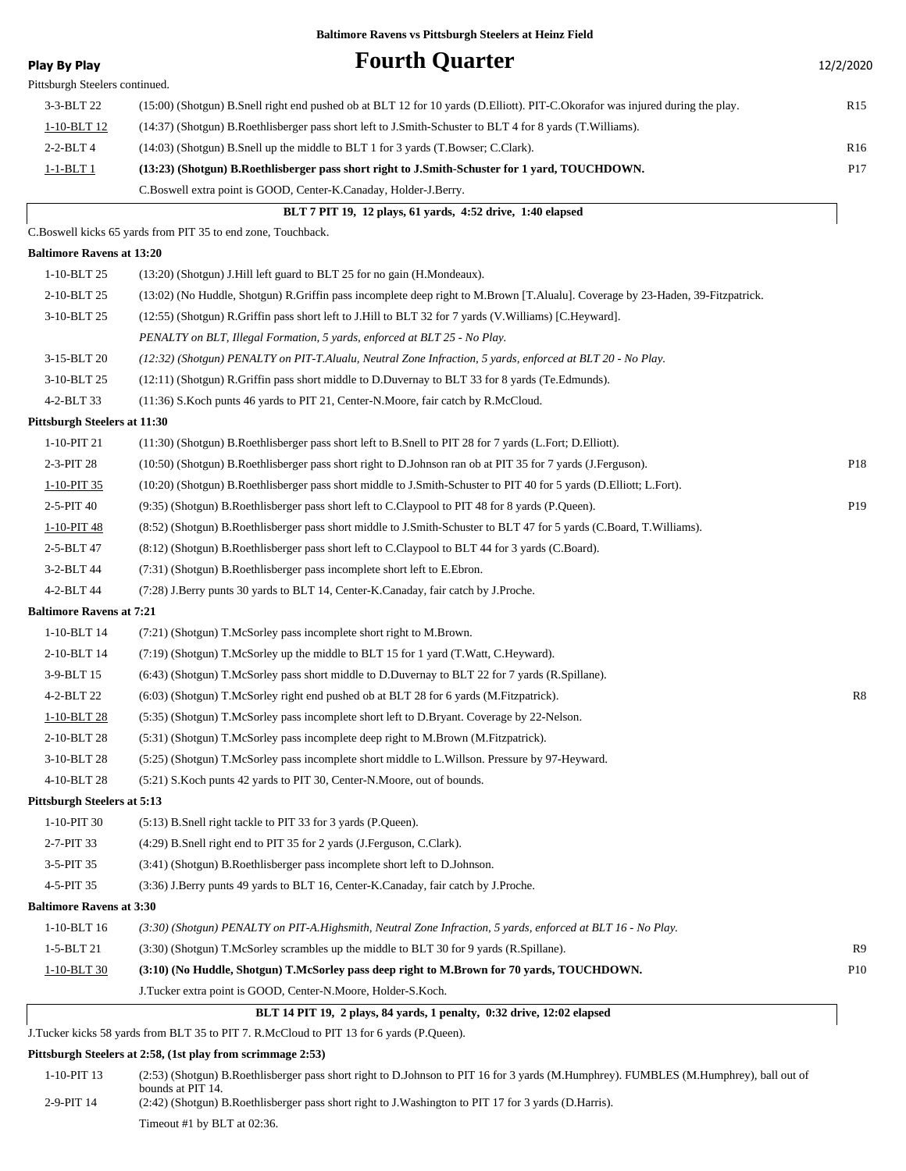| <b>Play By Play</b>                | <b>Fourth Quarter</b>                                                                                                          | 12/2/2020       |
|------------------------------------|--------------------------------------------------------------------------------------------------------------------------------|-----------------|
| Pittsburgh Steelers continued.     |                                                                                                                                |                 |
| 3-3-BLT 22                         | (15:00) (Shotgun) B.Snell right end pushed ob at BLT 12 for 10 yards (D.Elliott). PIT-C.Okorafor was injured during the play.  | R <sub>15</sub> |
| 1-10-BLT 12                        | (14:37) (Shotgun) B.Roethlisberger pass short left to J.Smith-Schuster to BLT 4 for 8 yards (T.Williams).                      |                 |
| $2 - 2 - BLT$ 4                    | (14:03) (Shotgun) B.Snell up the middle to BLT 1 for 3 yards (T.Bowser; C.Clark).                                              | R <sub>16</sub> |
| <u>1-1-BLT 1</u>                   | (13:23) (Shotgun) B.Roethlisberger pass short right to J.Smith-Schuster for 1 yard, TOUCHDOWN.                                 | P <sub>17</sub> |
|                                    | C.Boswell extra point is GOOD, Center-K.Canaday, Holder-J.Berry.                                                               |                 |
|                                    | BLT 7 PIT 19, 12 plays, 61 yards, 4:52 drive, 1:40 elapsed                                                                     |                 |
|                                    | C.Boswell kicks 65 yards from PIT 35 to end zone, Touchback.                                                                   |                 |
| <b>Baltimore Ravens at 13:20</b>   |                                                                                                                                |                 |
| 1-10-BLT 25                        | (13:20) (Shotgun) J.Hill left guard to BLT 25 for no gain (H.Mondeaux).                                                        |                 |
| 2-10-BLT 25                        | (13:02) (No Huddle, Shotgun) R.Griffin pass incomplete deep right to M.Brown [T.Alualu]. Coverage by 23-Haden, 39-Fitzpatrick. |                 |
| 3-10-BLT 25                        | (12:55) (Shotgun) R.Griffin pass short left to J.Hill to BLT 32 for 7 yards (V.Williams) [C.Heyward].                          |                 |
|                                    | PENALTY on BLT, Illegal Formation, 5 yards, enforced at BLT 25 - No Play.                                                      |                 |
| 3-15-BLT 20                        | (12:32) (Shotgun) PENALTY on PIT-T.Alualu, Neutral Zone Infraction, 5 yards, enforced at BLT 20 - No Play.                     |                 |
| 3-10-BLT 25                        | (12:11) (Shotgun) R.Griffin pass short middle to D.Duvernay to BLT 33 for 8 yards (Te.Edmunds).                                |                 |
| 4-2-BLT 33                         | (11:36) S.Koch punts 46 yards to PIT 21, Center-N.Moore, fair catch by R.McCloud.                                              |                 |
| Pittsburgh Steelers at 11:30       |                                                                                                                                |                 |
| 1-10-PIT 21                        | (11:30) (Shotgun) B.Roethlisberger pass short left to B.Snell to PIT 28 for 7 yards (L.Fort; D.Elliott).                       |                 |
| 2-3-PIT 28                         | (10:50) (Shotgun) B.Roethlisberger pass short right to D.Johnson ran ob at PIT 35 for 7 yards (J.Ferguson).                    | P <sub>18</sub> |
| 1-10-PIT 35                        | (10:20) (Shotgun) B.Roethlisberger pass short middle to J.Smith-Schuster to PIT 40 for 5 yards (D.Elliott; L.Fort).            |                 |
| 2-5-PIT 40                         | (9:35) (Shotgun) B.Roethlisberger pass short left to C.Claypool to PIT 48 for 8 yards (P.Queen).                               | P <sub>19</sub> |
| 1-10-PIT 48                        | (8:52) (Shotgun) B.Roethlisberger pass short middle to J.Smith-Schuster to BLT 47 for 5 yards (C.Board, T.Williams).           |                 |
| 2-5-BLT 47                         | (8.12) (Shotgun) B.Roethlisberger pass short left to C.Claypool to BLT 44 for 3 yards (C.Board).                               |                 |
| 3-2-BLT 44                         | (7:31) (Shotgun) B.Roethlisberger pass incomplete short left to E.Ebron.                                                       |                 |
| 4-2-BLT 44                         | (7:28) J.Berry punts 30 yards to BLT 14, Center-K.Canaday, fair catch by J.Proche.                                             |                 |
| <b>Baltimore Ravens at 7:21</b>    |                                                                                                                                |                 |
| 1-10-BLT 14                        | (7:21) (Shotgun) T.McSorley pass incomplete short right to M.Brown.                                                            |                 |
| 2-10-BLT 14                        | (7:19) (Shotgun) T.McSorley up the middle to BLT 15 for 1 yard (T.Watt, C.Heyward).                                            |                 |
| 3-9-BLT 15                         | (6:43) (Shotgun) T.McSorley pass short middle to D.Duvernay to BLT 22 for 7 yards (R.Spillane).                                |                 |
| 4-2-BLT 22                         | $(6:03)$ (Shotgun) T.McSorley right end pushed ob at BLT 28 for 6 yards (M.Fitzpatrick).                                       | R8              |
| $1-10-BLT$ 28                      | (5:35) (Shotgun) T.McSorley pass incomplete short left to D.Bryant. Coverage by 22-Nelson.                                     |                 |
| 2-10-BLT 28                        | (5:31) (Shotgun) T.McSorley pass incomplete deep right to M.Brown (M.Fitzpatrick).                                             |                 |
| 3-10-BLT 28                        | (5:25) (Shotgun) T.McSorley pass incomplete short middle to L.Willson. Pressure by 97-Heyward.                                 |                 |
| 4-10-BLT 28                        | (5:21) S. Koch punts 42 yards to PIT 30, Center-N. Moore, out of bounds.                                                       |                 |
| <b>Pittsburgh Steelers at 5:13</b> |                                                                                                                                |                 |
| 1-10-PIT 30                        | (5:13) B.Snell right tackle to PIT 33 for 3 yards (P.Queen).                                                                   |                 |
| 2-7-PIT 33                         | (4:29) B.Snell right end to PIT 35 for 2 yards (J.Ferguson, C.Clark).                                                          |                 |
| 3-5-PIT 35                         | (3:41) (Shotgun) B.Roethlisberger pass incomplete short left to D.Johnson.                                                     |                 |
| 4-5-PIT 35                         | (3:36) J.Berry punts 49 yards to BLT 16, Center-K.Canaday, fair catch by J.Proche.                                             |                 |
| <b>Baltimore Ravens at 3:30</b>    |                                                                                                                                |                 |
| 1-10-BLT 16                        | (3:30) (Shotgun) PENALTY on PIT-A.Highsmith, Neutral Zone Infraction, 5 yards, enforced at BLT 16 - No Play.                   |                 |
| 1-5-BLT 21                         | (3:30) (Shotgun) T.McSorley scrambles up the middle to BLT 30 for 9 yards (R.Spillane).                                        | R9              |
| 1-10-BLT 30                        |                                                                                                                                | <b>P10</b>      |
|                                    | (3:10) (No Huddle, Shotgun) T.McSorley pass deep right to M.Brown for 70 yards, TOUCHDOWN.                                     |                 |
|                                    | J.Tucker extra point is GOOD, Center-N.Moore, Holder-S.Koch.                                                                   |                 |

#### **Pittsburgh Steelers at 2:58, (1st play from scrimmage 2:53)**

| 1-10-PIT 13  | (2:53) (Shotgun) B.Roethlisberger pass short right to D.Johnson to PIT 16 for 3 yards (M.Humphrey). FUMBLES (M.Humphrey), ball out of |
|--------------|---------------------------------------------------------------------------------------------------------------------------------------|
| $2-9-PIT$ 14 | bounds at PIT 14.<br>(2.42) (Shotgun) B.Roethlisberger pass short right to J.Washington to PIT 17 for 3 yards (D.Harris).             |
|              | Timeout #1 by BLT at $02:36$ .                                                                                                        |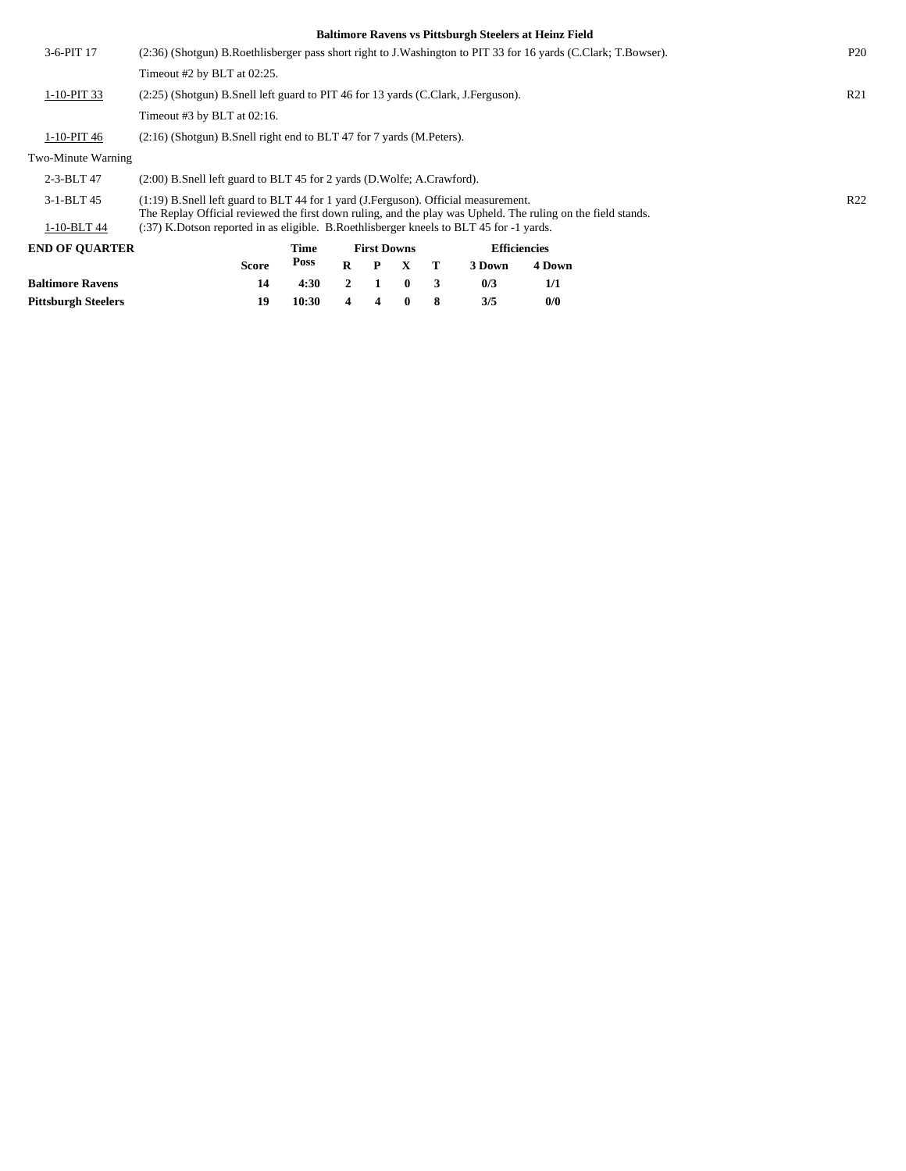| <b>Baltimore Ravens</b> | 14                                                                                                                                                                                                   | 4:30        | $\overline{2}$ |                    | $\bf{0}$ | 3 | 0/3    | 1/1                                                   |  |  |                 |
|-------------------------|------------------------------------------------------------------------------------------------------------------------------------------------------------------------------------------------------|-------------|----------------|--------------------|----------|---|--------|-------------------------------------------------------|--|--|-----------------|
|                         | <b>Score</b>                                                                                                                                                                                         | <b>Poss</b> | $\bf{R}$       | P                  | X        | т | 3 Down | 4 Down                                                |  |  |                 |
| <b>END OF OUARTER</b>   |                                                                                                                                                                                                      | Time        |                | <b>First Downs</b> |          |   |        | <b>Efficiencies</b>                                   |  |  |                 |
| 1-10-BLT 44             | (:37) K.Dotson reported in as eligible. B.Roethlisberger kneels to BLT 45 for -1 yards.                                                                                                              |             |                |                    |          |   |        |                                                       |  |  |                 |
| 3-1-BLT 45              | $(1:19)$ B.Snell left guard to BLT 44 for 1 yard (J.Ferguson). Official measurement.<br>The Replay Official reviewed the first down ruling, and the play was Upheld. The ruling on the field stands. |             |                |                    |          |   |        |                                                       |  |  | R <sub>22</sub> |
| 2-3-BLT 47              | $(2:00)$ B. Snell left guard to BLT 45 for 2 yards $(D.Wolfe; A.Crawford)$ .                                                                                                                         |             |                |                    |          |   |        |                                                       |  |  |                 |
| Two-Minute Warning      |                                                                                                                                                                                                      |             |                |                    |          |   |        |                                                       |  |  |                 |
| 1-10-PIT 46             | $(2:16)$ (Shotgun) B.Snell right end to BLT 47 for 7 yards (M.Peters).                                                                                                                               |             |                |                    |          |   |        |                                                       |  |  |                 |
|                         | Timeout $#3$ by BLT at 02:16.                                                                                                                                                                        |             |                |                    |          |   |        |                                                       |  |  |                 |
| 1-10-PIT 33             | (2.25) (Shotgun) B.Snell left guard to PIT 46 for 13 yards (C.Clark, J.Ferguson).                                                                                                                    |             |                |                    |          |   |        |                                                       |  |  | R <sub>21</sub> |
|                         | Timeout #2 by BLT at $02:25$ .                                                                                                                                                                       |             |                |                    |          |   |        |                                                       |  |  |                 |
| 3-6-PIT 17              | (2:36) (Shotgun) B.Roethlisberger pass short right to J.Washington to PIT 33 for 16 yards (C.Clark; T.Bowser).                                                                                       |             |                |                    |          |   |        |                                                       |  |  | P <sub>20</sub> |
|                         |                                                                                                                                                                                                      |             |                |                    |          |   |        | Daiumole Kavens vs Fittsburgh Steelers at Heinz Field |  |  |                 |

**Pittsburgh Steelers 19 10:30 4 4 0 8 3/5 0/0**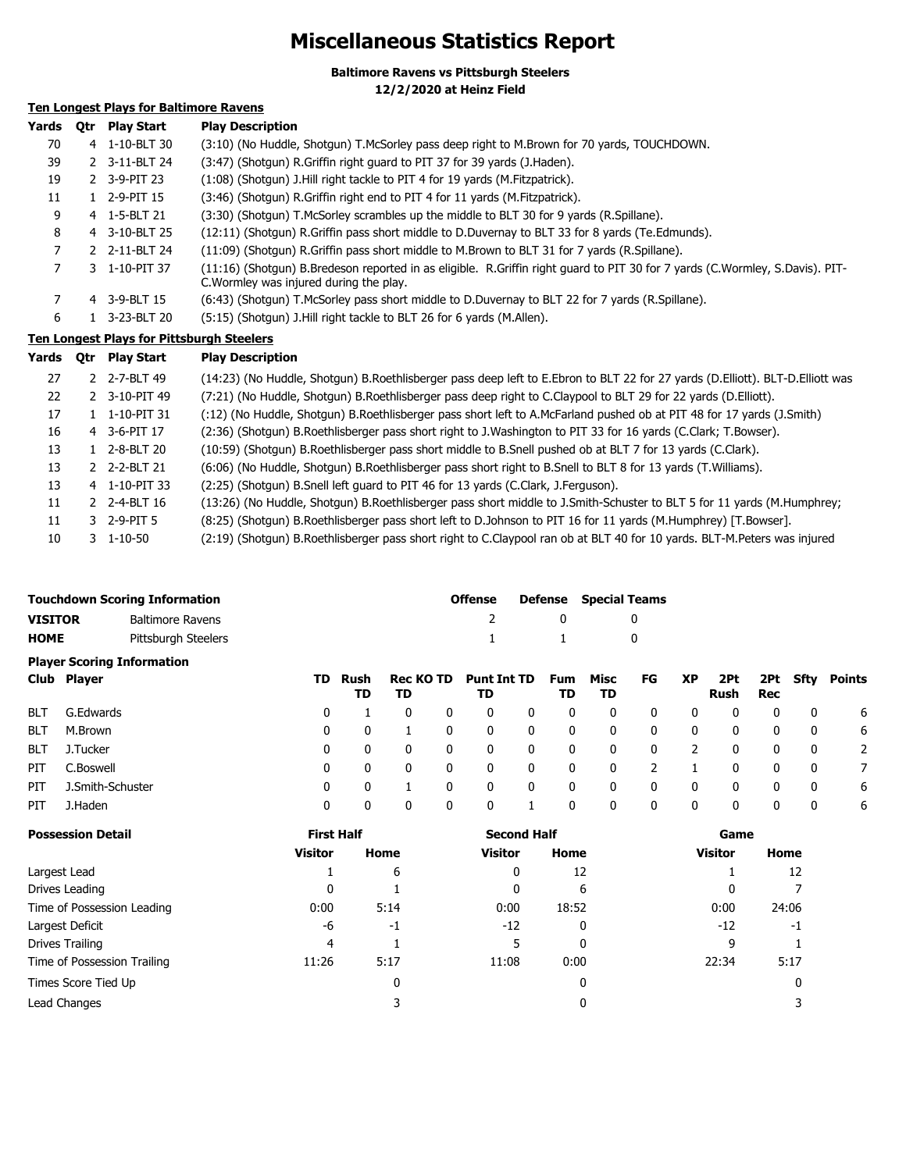## **Miscellaneous Statistics Report**

**Baltimore Ravens vs Pittsburgh Steelers**

**12/2/2020 at Heinz Field**

### **Ten Longest Plays for Baltimore Ravens**

| Yards     | Otr                                              | <b>Play Start</b> | <b>Play Description</b>                                                                                                                                                 |  |  |  |  |  |  |  |  |
|-----------|--------------------------------------------------|-------------------|-------------------------------------------------------------------------------------------------------------------------------------------------------------------------|--|--|--|--|--|--|--|--|
| 70        |                                                  | 4 1-10-BLT 30     | (3:10) (No Huddle, Shotgun) T.McSorley pass deep right to M.Brown for 70 yards, TOUCHDOWN.                                                                              |  |  |  |  |  |  |  |  |
| 39        |                                                  | 2 3-11-BLT 24     | (3:47) (Shotgun) R.Griffin right guard to PIT 37 for 39 yards (J.Haden).                                                                                                |  |  |  |  |  |  |  |  |
| 19        |                                                  | 2 3-9-PIT 23      | (1:08) (Shotgun) J.Hill right tackle to PIT 4 for 19 yards (M.Fitzpatrick).                                                                                             |  |  |  |  |  |  |  |  |
| 11        |                                                  | $1$ 2-9-PIT 15    | (3:46) (Shotgun) R.Griffin right end to PIT 4 for 11 yards (M.Fitzpatrick).                                                                                             |  |  |  |  |  |  |  |  |
| 9         |                                                  | 4 1-5-BLT 21      | (3:30) (Shotqun) T.McSorley scrambles up the middle to BLT 30 for 9 yards (R.Spillane).                                                                                 |  |  |  |  |  |  |  |  |
| 8         |                                                  | 4 3-10-BLT 25     | (12:11) (Shotgun) R.Griffin pass short middle to D.Duvernay to BLT 33 for 8 yards (Te.Edmunds).                                                                         |  |  |  |  |  |  |  |  |
| 7         |                                                  | 2 2-11-BLT 24     | (11:09) (Shotqun) R.Griffin pass short middle to M.Brown to BLT 31 for 7 yards (R.Spillane).                                                                            |  |  |  |  |  |  |  |  |
| 7         |                                                  | 3 1-10-PIT 37     | (11:16) (Shotgun) B.Bredeson reported in as eligible. R.Griffin right guard to PIT 30 for 7 yards (C.Wormley, S.Davis). PIT-<br>C. Wormley was injured during the play. |  |  |  |  |  |  |  |  |
| 7         |                                                  | 4 3-9-BLT 15      | (6:43) (Shotgun) T.McSorley pass short middle to D.Duvernay to BLT 22 for 7 yards (R.Spillane).                                                                         |  |  |  |  |  |  |  |  |
| 6         |                                                  | 1 3-23-BLT 20     | (5:15) (Shotgun) J.Hill right tackle to BLT 26 for 6 yards (M.Allen).                                                                                                   |  |  |  |  |  |  |  |  |
|           | <b>Ten Longest Plays for Pittsburgh Steelers</b> |                   |                                                                                                                                                                         |  |  |  |  |  |  |  |  |
| Yards Otr |                                                  | <b>Play Start</b> | <b>Play Description</b>                                                                                                                                                 |  |  |  |  |  |  |  |  |

| 27 |    | 2 2-7-BLT 49          | (14:23) (No Huddle, Shotgun) B.Roethlisberger pass deep left to E.Ebron to BLT 22 for 27 yards (D.Elliott). BLT-D.Elliott was |
|----|----|-----------------------|-------------------------------------------------------------------------------------------------------------------------------|
| 22 |    | 2 3-10-PIT 49         | (7:21) (No Huddle, Shotgun) B.Roethlisberger pass deep right to C.Claypool to BLT 29 for 22 yards (D.Elliott).                |
| 17 |    | 1-10-PIT 31           | (1.2) (No Huddle, Shotgun) B.Roethlisberger pass short left to A.McFarland pushed ob at PIT 48 for 17 yards (J.Smith)         |
| 16 |    | 4 3-6-PIT 17          | (2:36) (Shotgun) B.Roethlisberger pass short right to J.Washington to PIT 33 for 16 yards (C.Clark; T.Bowser).                |
| 13 | 1. | 2-8-BLT 20            | (10:59) (Shotgun) B.Roethlisberger pass short middle to B.Snell pushed ob at BLT 7 for 13 yards (C.Clark).                    |
| 13 |    | 2 2-2-BLT 21          | (6:06) (No Huddle, Shotgun) B.Roethlisberger pass short right to B.Snell to BLT 8 for 13 yards (T.Williams).                  |
| 13 |    | 4 1-10-PIT 33         | (2:25) (Shotgun) B.Snell left guard to PIT 46 for 13 yards (C.Clark, J.Ferguson).                                             |
| 11 |    | 2 2-4-BLT 16          | (13:26) (No Huddle, Shotgun) B.Roethlisberger pass short middle to J.Smith-Schuster to BLT 5 for 11 yards (M.Humphrey;        |
| 11 |    | 3 2-9-PIT 5           | (8:25) (Shotgun) B.Roethlisberger pass short left to D.Johnson to PIT 16 for 11 yards (M.Humphrey) [T.Bowser].                |
| 10 |    | $3 \quad 1 - 10 - 50$ | (2:19) (Shotgun) B.Roethlisberger pass short right to C.Claypool ran ob at BLT 40 for 10 yards. BLT-M.Peters was injured      |

|                | <b>Touchdown Scoring Information</b> |     | <b>Offense</b> |                        |   |                          | <b>Defense</b> Special Teams |           |            |          |           |             |     |                 |
|----------------|--------------------------------------|-----|----------------|------------------------|---|--------------------------|------------------------------|-----------|------------|----------|-----------|-------------|-----|-----------------|
| <b>VISITOR</b> | <b>Baltimore Ravens</b>              |     |                |                        |   |                          |                              | 0         |            | 0        |           |             |     |                 |
| <b>HOME</b>    | Pittsburgh Steelers                  |     |                |                        |   |                          |                              |           |            | 0        |           |             |     |                 |
|                | <b>Player Scoring Information</b>    |     |                |                        |   |                          |                              |           |            |          |           |             |     |                 |
|                | Club Player                          | TD. | Rush<br>TD     | <b>Rec KO TD</b><br>TD |   | <b>Punt Int TD</b><br>TD |                              | Fum<br>TD | Misc<br>TD | FG       | <b>XP</b> | 2Pt<br>Rush | Rec | 2Pt Sfty Points |
| <b>BLT</b>     | G.Edwards                            |     |                |                        | 0 | 0                        | $\mathbf{0}$                 | $\Omega$  | 0          | $\Omega$ | $\Omega$  |             |     | 6               |

| BLT | M.Brown              | $0\qquad 0$  |              | $\mathbf{1}$ | $\mathbf{0}$            | $\mathbf{0}$ | $\overline{0}$      | $\overline{0}$          | $\overline{\mathbf{0}}$ | $\overline{\mathbf{0}}$ | $\overline{\mathbf{0}}$ | $\mathbf{0}$ | $0\qquad 0$             |                         | - 6                        |
|-----|----------------------|--------------|--------------|--------------|-------------------------|--------------|---------------------|-------------------------|-------------------------|-------------------------|-------------------------|--------------|-------------------------|-------------------------|----------------------------|
|     | BLT J.Tucker         | $0\qquad 0$  |              | 0            | $\overline{\mathbf{0}}$ | 0            | $\overline{0}$      | $\overline{\mathbf{0}}$ | $\overline{\mathbf{0}}$ |                         | $0\qquad 2$             |              | $0\qquad 0$             | $\overline{\mathbf{0}}$ | $\overline{\phantom{0}}$ 2 |
|     | PIT C.Boswell        | $\mathbf{0}$ | 0            | $\mathbf{0}$ | $\mathbf{0}$            | - 0          | $\overline{0}$      | $\overline{\mathbf{0}}$ | $\mathbf{0}$            | $\overline{2}$          | $\sim$ 1                | $\mathbf{0}$ | $0\qquad 0$             |                         | - 7                        |
|     | PIT J.Smith-Schuster | $\Omega$     | $\mathbf{0}$ | $\mathbf{1}$ | $\Omega$                | 0            | $\mathbf{0}$        | $\overline{\mathbf{0}}$ | $\overline{\mathbf{0}}$ | $\overline{\mathbf{0}}$ | $\overline{\mathbf{0}}$ | $\mathbf 0$  | $\overline{\mathbf{0}}$ | $\overline{\mathbf{0}}$ | - 6                        |
| PIT | J.Haden              |              |              | $\mathbf{0}$ | $\overline{0}$          | $\mathbf{0}$ | $\sim$ 1.000 $\sim$ | $\overline{\mathbf{0}}$ | $\overline{\mathbf{0}}$ | $\overline{\mathbf{0}}$ | $\overline{\mathbf{0}}$ | $\mathbf{0}$ | $\mathbf{0}$            | $\mathbf{0}$            | -6                         |

| <b>Possession Detail</b>    | <b>First Half</b> |      | <b>Second Half</b> |       | Game           |       |  |  |
|-----------------------------|-------------------|------|--------------------|-------|----------------|-------|--|--|
|                             | <b>Visitor</b>    | Home | <b>Visitor</b>     | Home  | <b>Visitor</b> | Home  |  |  |
| Largest Lead                |                   | 6    | 0                  | 12    |                | 12    |  |  |
| Drives Leading              | 0                 |      | 0                  | 6     |                |       |  |  |
| Time of Possession Leading  | 0:00              | 5:14 | 0:00               | 18:52 | 0:00           | 24:06 |  |  |
| Largest Deficit             | -6                | $-1$ | $-12$              | 0     | $-12$          | $-1$  |  |  |
| Drives Trailing             | 4                 |      |                    | 0     | 9              |       |  |  |
| Time of Possession Trailing | 11:26             | 5:17 | 11:08              | 0:00  | 22:34          | 5:17  |  |  |
| Times Score Tied Up         |                   | 0    |                    | 0     |                |       |  |  |
| Lead Changes                |                   |      |                    | 0     |                |       |  |  |